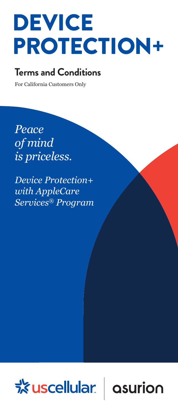# DEVICE PROTECTION+

### **Terms and Conditions**

For California Customers Only

*Peace of mind is priceless.*

*Device Protection+ with AppleCare Services® Program*



asurion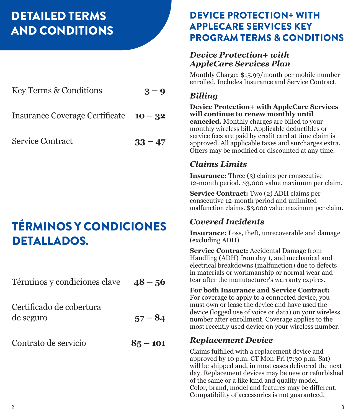# DETAILED TERMS AND CONDITIONS

| Key Terms & Conditions                   | $3 - 9$   |
|------------------------------------------|-----------|
| Insurance Coverage Certificate $10 - 32$ |           |
| <b>Service Contract</b>                  | $33 - 47$ |

# TÉRMINOS Y CONDICIONES DETALLADOS.

| Términos y condiciones clave $48 - 56$ |            |
|----------------------------------------|------------|
| Certificado de cobertura<br>de seguro  | $57 - 84$  |
| Contrato de servicio                   | $85 - 101$ |

### DEVICE PROTECTION+ WITH APPLECARE SERVICES KEY PROGRAM TERMS & CONDITIONS

#### *Device Protection+ with AppleCare Services Plan*

Monthly Charge: \$15.99/month per mobile number enrolled. Includes Insurance and Service Contract.

#### *Billing*

**Device Protection+ with AppleCare Services will continue to renew monthly until canceled.** Monthly charges are billed to your monthly wireless bill. Applicable deductibles or service fees are paid by credit card at time claim is approved. All applicable taxes and surcharges extra. Offers may be modified or discounted at any time.

### *Claims Limits*

**Insurance:** Three (3) claims per consecutive 12-month period. \$3,000 value maximum per claim.

**Service Contract:** Two (2) ADH claims per consecutive 12-month period and unlimited malfunction claims. \$3,000 value maximum per claim.

### *Covered Incidents*

**Insurance:** Loss, theft, unrecoverable and damage (excluding ADH).

**Service Contract:** Accidental Damage from Handling (ADH) from day 1, and mechanical and electrical breakdowns (malfunction) due to defects in materials or workmanship or normal wear and tear after the manufacturer's warranty expires.

#### **For both Insurance and Service Contract:**

For coverage to apply to a connected device, you must own or lease the device and have used the device (logged use of voice or data) on your wireless number after enrollment. Coverage applies to the most recently used device on your wireless number.

### *Replacement Device*

Claims fulfilled with a replacement device and approved by 10 p.m. CT Mon-Fri (7:30 p.m. Sat) will be shipped and, in most cases delivered the next day. Replacement devices may be new or refurbished of the same or a like kind and quality model. Color, brand, model and features may be different. Compatibility of accessories is not guaranteed.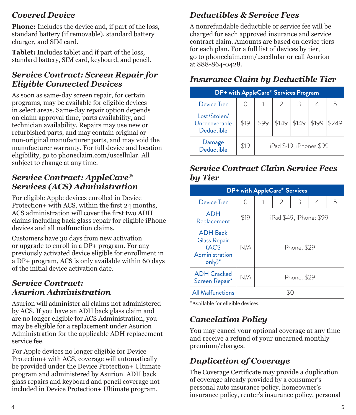### *Covered Device*

**Phone:** Includes the device and, if part of the loss, standard battery (if removable), standard battery charger, and SIM card.

**Tablet:** Includes tablet and if part of the loss, standard battery, SIM card, keyboard, and pencil.

#### *Service Contract: Screen Repair for Eligible Connected Devices*

As soon as same-day screen repair, for certain programs, may be available for eligible devices in select areas. Same-day repair option depends on claim approval time, parts availability, and technician availability. Repairs may use new or refurbished parts, and may contain original or non-original manufacturer parts, and may void the manufacturer warranty. For full device and location eligibility, go to phoneclaim.com/uscellular. All subject to change at any time.

### *Service Contract: AppleCare® Services (ACS) Administration*

For eligible Apple devices enrolled in Device Protection+ with ACS, within the first 24 months, ACS administration will cover the first two ADH claims including back glass repair for eligible iPhone devices and all malfunction claims.

Customers have 30 days from new activation or upgrade to enroll in a DP+ program. For any previously activated device eligible for enrollment in a DP+ program, ACS is only available within 60 days of the initial device activation date.

#### *Service Contract: Asurion Administration*

Asurion will administer all claims not administered by ACS. If you have an ADH back glass claim and are no longer eligible for ACS Administration, you may be eligible for a replacement under Asurion Administration for the applicable ADH replacement service fee.

For Apple devices no longer eligible for Device Protection+ with ACS, coverage will automatically be provided under the Device Protection+ Ultimate program and administered by Asurion. ADH back glass repairs and keyboard and pencil coverage not included in Device Protection+ Ultimate program.

### *Deductibles & Service Fees*

A nonrefundable deductible or service fee will be charged for each approved insurance and service contract claim. Amounts are based on device tiers for each plan. For a full list of devices by tier, go to phoneclaim.com/uscellular or call Asurion at 888-864-0428.

### *Insurance Claim by Deductible Tier*

| DP+ with AppleCare® Services Program        |      |      |       |                         |       |       |
|---------------------------------------------|------|------|-------|-------------------------|-------|-------|
| Device Tier                                 |      |      |       | З                       |       | 5.    |
| Lost/Stolen/<br>Unrecoverable<br>Deductible | \$19 | \$99 | \$149 | \$149                   | \$199 | \$249 |
| Damage<br>Deductible                        | \$19 |      |       | iPad \$49, iPhones \$99 |       |       |

#### *Service Contract Claim Service Fees by Tier*

| DP+ with AppleCare® Services                                                 |      |                         |   |   |   |   |
|------------------------------------------------------------------------------|------|-------------------------|---|---|---|---|
| Device Tier                                                                  | ∩    |                         | 2 | 3 | 4 | 5 |
| <b>ADH</b><br>Replacement                                                    | \$19 | iPad \$49, iPhone: \$99 |   |   |   |   |
| <b>ADH Back</b><br><b>Glass Repair</b><br>(ACS<br>Administration<br>$only)*$ | N/A  | iPhone: \$29            |   |   |   |   |
| <b>ADH</b> Cracked<br>Screen Repair*                                         | N/A  | iPhone: \$29            |   |   |   |   |
| <b>All Malfunctions</b>                                                      | ٢C   |                         |   |   |   |   |

\*Available for eligible devices.

### *Cancelation Policy*

You may cancel your optional coverage at any time and receive a refund of your unearned monthly premium/charges.

### *Duplication of Coverage*

The Coverage Certificate may provide a duplication of coverage already provided by a consumer's personal auto insurance policy, homeowner's insurance policy, renter's insurance policy, personal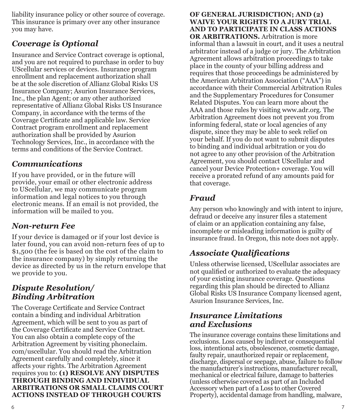liability insurance policy or other source of coverage. This insurance is primary over any other insurance you may have.

### *Coverage is Optional*

Insurance and Service Contract coverage is optional, and you are not required to purchase in order to buy UScellular services or devices. Insurance program enrollment and replacement authorization shall be at the sole discretion of Allianz Global Risks US Insurance Company; Asurion Insurance Services, Inc., the plan Agent; or any other authorized representative of Allianz Global Risks US Insurance Company, in accordance with the terms of the Coverage Certificate and applicable law. Service Contract program enrollment and replacement authorization shall be provided by Asurion Technology Services, Inc., in accordance with the terms and conditions of the Service Contract.

### *Communications*

If you have provided, or in the future will provide, your email or other electronic address to UScellular, we may communicate program information and legal notices to you through electronic means. If an email is not provided, the information will be mailed to you.

### *Non-return Fee*

If your device is damaged or if your lost device is later found, you can avoid non-return fees of up to \$1,500 (the fee is based on the cost of the claim to the insurance company) by simply returning the device as directed by us in the return envelope that we provide to you.

#### *Dispute Resolution/ Binding Arbitration*

The Coverage Certificate and Service Contract contain a binding and individual Arbitration Agreement, which will be sent to you as part of the Coverage Certificate and Service Contract. You can also obtain a complete copy of the Arbitration Agreement by visiting phoneclaim. com/uscellular. You should read the Arbitration Agreement carefully and completely, since it affects your rights. The Arbitration Agreement requires you to: **(1) RESOLVE ANY DISPUTES THROUGH BINDING AND INDIVIDUAL ARBITRATIONS OR SMALL CLAIMS COURT ACTIONS INSTEAD OF THROUGH COURTS** 

**OF GENERAL JURISDICTION; AND (2) WAIVE YOUR RIGHTS TO A JURY TRIAL AND TO PARTICIPATE IN CLASS ACTIONS OR ARBITRATIONS.** Arbitration is more informal than a lawsuit in court, and it uses a neutral arbitrator instead of a judge or jury. The Arbitration Agreement allows arbitration proceedings to take place in the county of your billing address and requires that those proceedings be administered by the American Arbitration Association ("AAA") in accordance with their Commercial Arbitration Rules and the Supplementary Procedures for Consumer Related Disputes. You can learn more about the AAA and those rules by visiting www.adr.org. The Arbitration Agreement does not prevent you from informing federal, state or local agencies of any dispute, since they may be able to seek relief on your behalf. If you do not want to submit disputes to binding and individual arbitration or you do not agree to any other provision of the Arbitration Agreement, you should contact UScellular and cancel your Device Protection+ coverage. You will receive a prorated refund of any amounts paid for that coverage.

### *Fraud*

Any person who knowingly and with intent to injure, defraud or deceive any insurer files a statement of claim or an application containing any false, incomplete or misleading information is guilty of insurance fraud. In Oregon, this note does not apply.

### *Associate Qualifications*

Unless otherwise licensed, UScellular associates are not qualified or authorized to evaluate the adequacy of your existing insurance coverage. Questions regarding this plan should be directed to Allianz Global Risks US Insurance Company licensed agent, Asurion Insurance Services, Inc.

#### *Insurance Limitations and Exclusions*

The insurance coverage contains these limitations and exclusions. Loss caused by indirect or consequential loss, intentional acts, obsolescence, cosmetic damage, faulty repair, unauthorized repair or replacement, discharge, dispersal or seepage, abuse, failure to follow the manufacturer's instructions, manufacturer recall, mechanical or electrical failure, damage to batteries (unless otherwise covered as part of an Included Accessory when part of a Loss to other Covered Property), accidental damage from handling, malware,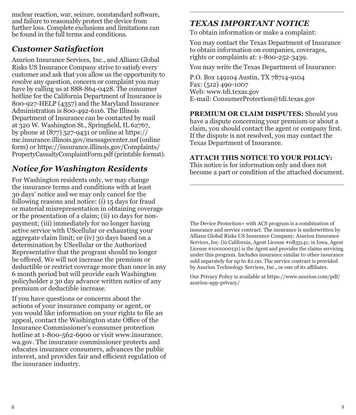nuclear reaction, war, seizure, nonstandard software, and failure to reasonably protect the device from further loss. Complete exclusions and limitations can be found in the full terms and conditions.

### *Customer Satisfaction*

Asurion Insurance Services, Inc., and Allianz Global Risks US Insurance Company strive to satisfy every customer and ask that you allow us the opportunity to resolve any question, concern or complaint you may have by calling us at 888-864-0428. The consumer hotline for the California Department of Insurance is 800-927-HELP (4357) and the Maryland Insurance Administration is 800-492-6116. The Illinois Department of Insurance can be contacted by mail at 320 W. Washington St., Springfield, IL 62767, by phone at (877) 527-9431 or online at https:// mc.insurance.illinois.gov/messagecenter.nsf (online form) or https://insurance.illinois.gov/Complaints/ PropertyCasualtyComplaintForm.pdf (printable format).

### *Notice for Washington Residents*

For Washington residents only, we may change the insurance terms and conditions with at least 30 days' notice and we may only cancel for the following reasons and notice: (i) 15 days for fraud or material misrepresentation in obtaining coverage or the presentation of a claim; (ii) 10 days for nonpayment; (iii) immediately for no longer having active service with UScellular or exhausting your aggregate claim limit; or (iv) 30 days based on a determination by UScellular or the Authorized Representative that the program should no longer be offered. We will not increase the premium or deductible or restrict coverage more than once in any 6 month period but will provide each Washington policyholder a 30 day advance written notice of any premium or deductible increase.

If you have questions or concerns about the actions of your insurance company or agent, or you would like information on your rights to file an appeal, contact the Washington state Office of the Insurance Commissioner's consumer protection hotline at  $1-800-562-6900$  or visit www.insurance. wa.gov. The insurance commissioner protects and educates insurance consumers, advances the public interest, and provides fair and efficient regulation of the insurance industry.

### *TEXAS IMPORTANT NOTICE*

To obtain information or make a complaint:

You may contact the Texas Department of Insurance to obtain information on companies, coverages, rights or complaints at: 1-800-252-3439.

You may write the Texas Department of Insurance:

P.O. Box 149104 Austin, TX 78714-9104 Fax: (512) 490-1007 Web: www.tdi.texas.gov E-mail: ConsumerProtection@tdi.texas.gov

**PREMIUM OR CLAIM DISPUTES:** Should you have a dispute concerning your premium or about a claim, you should contact the agent or company first. If the dispute is not resolved, you may contact the Texas Department of Insurance.

#### **ATTACH THIS NOTICE TO YOUR POLICY:**

This notice is for information only and does not become a part or condition of the attached document.

The Device Protection+ with ACS program is a combination of insurance and service contract. The insurance is underwritten by Allianz Global Risks US Insurance Company; Asurion Insurance Services, Inc. (in California, Agent License #0B35141; in Iowa, Agent License #1001000131) is the Agent and provides the claims servicing under this program. Includes insurance similar to other insurance sold separately for up to \$2.00. The service contract is provided by Asurion Technology Services, Inc., or one of its affiliates.

Our Privacy Policy is available at https://www.asurion.com/pdf/ asurion-app-privacy/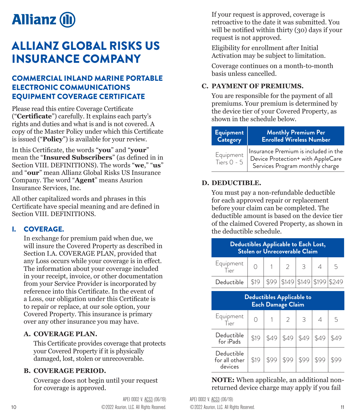<span id="page-5-0"></span>

## ALLIANZ GLOBAL RISKS US INSURANCE COMPANY

#### COMMERCIAL INLAND MARINE PORTABLE ELECTRONIC COMMUNICATIONS EQUIPMENT COVERAGE CERTIFICATE

Please read this entire Coverage Certificate ("**Certificate**") carefully. It explains each party's rights and duties and what is and is not covered. A copy of the Master Policy under which this Certificate is issued ("**Policy**") is available for your review.

In this Certificate, the words "**you**" and "**your**" mean the "**Insured Subscribers**" (as defined in in Section VIII. DEFINITIONS). The words "**we**," "**us**" and "**our**" mean Allianz Global Risks US Insurance Company. The word "**Agent**" means Asurion Insurance Services, Inc.

All other capitalized words and phrases in this Certificate have special meaning and are defined in Section VIII. DEFINITIONS.

#### I. COVERAGE.

In exchange for premium paid when due, we will insure the Covered Property as described in Section I.A. COVERAGE PLAN, provided that any Loss occurs while your coverage is in effect. The information about your coverage included in your receipt, invoice, or other documentation from your Service Provider is incorporated by reference into this Certificate. In the event of a Loss, our obligation under this Certificate is to repair or replace, at our sole option, your Covered Property. This insurance is primary over any other insurance you may have.

#### **A. COVERAGE PLAN.**

This Certificate provides coverage that protects your Covered Property if it is physically damaged, lost, stolen or unrecoverable.

#### **B. COVERAGE PERIOD.**

Coverage does not begin until your request for coverage is approved.

If your request is approved, coverage is retroactive to the date it was submitted. You will be notified within thirty (30) days if your request is not approved.

Eligibility for enrollment after Initial Activation may be subject to limitation.

Coverage continues on a month-to-month basis unless cancelled.

#### **C. PAYMENT OF PREMIUMS.**

You are responsible for the payment of all premiums. Your premium is determined by the device tier of your Covered Property, as shown in the schedule below.

| <b>Equipment</b>           | <b>Monthly Premium Per</b>                                                                                   |
|----------------------------|--------------------------------------------------------------------------------------------------------------|
| Category                   | <b>Enrolled Wireless Number</b>                                                                              |
| Equipment<br>Tiers $0 - 5$ | Insurance Premium is included in the<br>Device Protection+ with AppleCare<br>Services Program monthly charge |

#### **D. DEDUCTIBLE.**

You must pay a non-refundable deductible for each approved repair or replacement before your claim can be completed. The deductible amount is based on the device tier of the claimed Covered Property, as shown in the deductible schedule.

| Deductibles Applicable to Each Lost,<br>Stolen or Unrecoverable Claim |      |  |  |                         |   |
|-----------------------------------------------------------------------|------|--|--|-------------------------|---|
| Equipment                                                             |      |  |  | $\overline{\mathbf{3}}$ | 5 |
| Deductible                                                            | \$19 |  |  | \$149 \$149 \$199 \$249 |   |
|                                                                       |      |  |  |                         |   |

| <b>Deductibles Applicable to</b><br>Each Damage Claim |      |      |      |      |  |   |  |
|-------------------------------------------------------|------|------|------|------|--|---|--|
| Equipment<br>Tier                                     |      |      |      | 3    |  | 5 |  |
| Deductible<br>for iPads                               | \$19 |      | \$49 | \$49 |  |   |  |
| Deductible<br>for all other<br>devices                | \$19 | \$99 |      |      |  |   |  |

**NOTE:** When applicable, an additional nonreturned device charge may apply if you fail

10 **C**2022 Asurion, LLC. All Rights Reserved. ©2022 Asurion, LLC. All Rights Reserved. 11 APEI 0002 V. ACS3 (06/19) APEI 0002 V. ACS3 (06/19)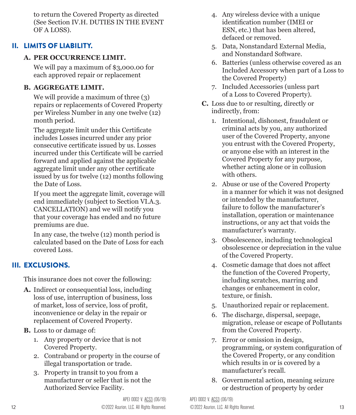to return the Covered Property as directed (See Section IV.H. DUTIES IN THE EVENT OF A LOSS).

#### II. LIMITS OF LIABILITY.

#### **A. PER OCCURRENCE LIMIT.**

We will pay a maximum of \$3,000.00 for each approved repair or replacement

#### **B. AGGREGATE LIMIT.**

We will provide a maximum of three (3) repairs or replacements of Covered Property per Wireless Number in any one twelve (12) month period.

The aggregate limit under this Certificate includes Losses incurred under any prior consecutive certificate issued by us. Losses incurred under this Certificate will be carried forward and applied against the applicable aggregate limit under any other certificate issued by us for twelve (12) months following the Date of Loss.

If you meet the aggregate limit, coverage will end immediately (subject to Section VI.A.3. CANCELLATION) and we will notify you that your coverage has ended and no future premiums are due.

In any case, the twelve (12) month period is calculated based on the Date of Loss for each covered Loss.

#### III. EXCLUSIONS.

This insurance does not cover the following:

- **A.** Indirect or consequential loss, including loss of use, interruption of business, loss of market, loss of service, loss of profit, inconvenience or delay in the repair or replacement of Covered Property.
- **B.** Loss to or damage of:
	- 1. Any property or device that is not Covered Property.
	- 2. Contraband or property in the course of illegal transportation or trade.
	- 3. Property in transit to you from a manufacturer or seller that is not the Authorized Service Facility.
- 4. Any wireless device with a unique identification number (IMEI or ESN, etc.) that has been altered, defaced or removed.
- 5. Data, Nonstandard External Media, and Nonstandard Software.
- 6. Batteries (unless otherwise covered as an Included Accessory when part of a Loss to the Covered Property)
- 7. Included Accessories (unless part of a Loss to Covered Property).
- **C.** Loss due to or resulting, directly or indirectly, from:
	- 1. Intentional, dishonest, fraudulent or criminal acts by you, any authorized user of the Covered Property, anyone you entrust with the Covered Property, or anyone else with an interest in the Covered Property for any purpose, whether acting alone or in collusion with others.
	- 2. Abuse or use of the Covered Property in a manner for which it was not designed or intended by the manufacturer, failure to follow the manufacturer's installation, operation or maintenance instructions, or any act that voids the manufacturer's warranty.
	- 3. Obsolescence, including technological obsolescence or depreciation in the value of the Covered Property.
	- 4. Cosmetic damage that does not affect the function of the Covered Property, including scratches, marring and changes or enhancement in color, texture, or finish.
	- 5. Unauthorized repair or replacement.
	- 6. The discharge, dispersal, seepage, migration, release or escape of Pollutants from the Covered Property.
	- 7. Error or omission in design, programming, or system configuration of the Covered Property, or any condition which results in or is covered by a manufacturer's recall.
	- 8. Governmental action, meaning seizure or destruction of property by order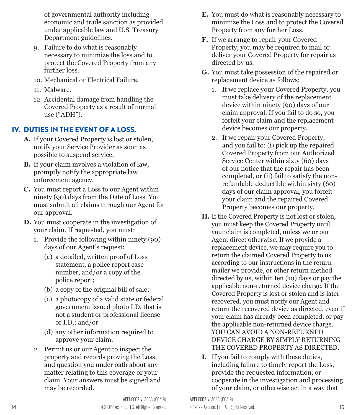of governmental authority including economic and trade sanction as provided under applicable law and U.S. Treasury Department guidelines.

- 9. Failure to do what is reasonably necessary to minimize the loss and to protect the Covered Property from any further loss.
- 10. Mechanical or Electrical Failure.
- 11. Malware.
- 12. Accidental damage from handling the Covered Property as a result of normal use ("ADH").

#### IV. DUTIES IN THE EVENT OF A LOSS.

- **A.** If your Covered Property is lost or stolen, notify your Service Provider as soon as possible to suspend service.
- **B.** If your claim involves a violation of law, promptly notify the appropriate law enforcement agency.
- **C.** You must report a Loss to our Agent within ninety (90) days from the Date of Loss. You must submit all claims through our Agent for our approval.
- **D.** You must cooperate in the investigation of your claim. If requested, you must:
	- 1. Provide the following within ninety (90) days of our Agent's request:
		- (a) a detailed, written proof of Loss statement, a police report case number, and/or a copy of the police report;
		- (b) a copy of the original bill of sale;
		- (c) a photocopy of a valid state or federal government issued photo I.D. that is not a student or professional license or I.D.; and/or
		- (d) any other information required to approve your claim.
	- 2. Permit us or our Agent to inspect the property and records proving the Loss, and question you under oath about any matter relating to this coverage or your claim. Your answers must be signed and may be recorded.
- **E.** You must do what is reasonably necessary to minimize the Loss and to protect the Covered Property from any further Loss.
- **F.** If we arrange to repair your Covered Property, you may be required to mail or deliver your Covered Property for repair as directed by us.
- **G.** You must take possession of the repaired or replacement device as follows:
	- 1. If we replace your Covered Property, you must take delivery of the replacement device within ninety (90) days of our claim approval. If you fail to do so, you forfeit your claim and the replacement device becomes our property.
	- 2. If we repair your Covered Property, and you fail to: (i) pick up the repaired Covered Property from our Authorized Service Center within sixty (60) days of our notice that the repair has been completed, or (ii) fail to satisfy the nonrefundable deductible within sixty (60) days of our claim approval, you forfeit your claim and the repaired Covered Property becomes our property.
- **H.** If the Covered Property is not lost or stolen, you must keep the Covered Property until your claim is completed, unless we or our Agent direct otherwise. If we provide a replacement device, we may require you to return the claimed Covered Property to us according to our instructions in the return mailer we provide, or other return method directed by us, within ten (10) days or pay the applicable non-returned device charge. If the Covered Property is lost or stolen and is later recovered, you must notify our Agent and return the recovered device as directed, even if your claim has already been completed, or pay the applicable non-returned device charge. YOU CAN AVOID A NON-RETURNED DEVICE CHARGE BY SIMPLY RETURNING THE COVERED PROPERTY AS DIRECTED.
- **I.** If you fail to comply with these duties, including failure to timely report the Loss, provide the requested information, or cooperate in the investigation and processing of your claim, or otherwise act in a way that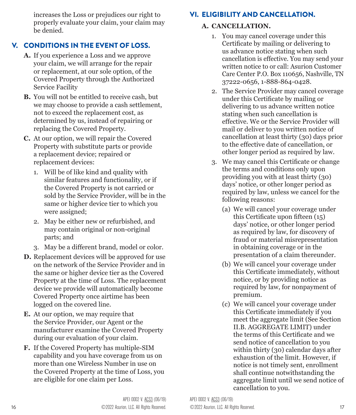increases the Loss or prejudices our right to properly evaluate your claim, your claim may be denied.

### V. CONDITIONS IN THE EVENT OF LOSS.

- **A.** If you experience a Loss and we approve your claim, we will arrange for the repair or replacement, at our sole option, of the Covered Property through the Authorized Service Facility
- **B.** You will not be entitled to receive cash, but we may choose to provide a cash settlement, not to exceed the replacement cost, as determined by us, instead of repairing or replacing the Covered Property.
- **C.** At our option, we will repair the Covered Property with substitute parts or provide a replacement device; repaired or replacement devices:
	- 1. Will be of like kind and quality with similar features and functionality, or if the Covered Property is not carried or sold by the Service Provider, will be in the same or higher device tier to which you were assigned;
	- 2. May be either new or refurbished, and may contain original or non-original parts; and
	- 3. May be a different brand, model or color.
- **D.** Replacement devices will be approved for use on the network of the Service Provider and in the same or higher device tier as the Covered Property at the time of Loss. The replacement device we provide will automatically become Covered Property once airtime has been logged on the covered line.
- **E.** At our option, we may require that the Service Provider, our Agent or the manufacturer examine the Covered Property during our evaluation of your claim.
- **F.** If the Covered Property has multiple-SIM capability and you have coverage from us on more than one Wireless Number in use on the Covered Property at the time of Loss, you are eligible for one claim per Loss.

### VI. ELIGIBILITY AND CANCELLATION.

#### **A. CANCELLATION.**

- 1. You may cancel coverage under this Certificate by mailing or delivering to us advance notice stating when such cancellation is effective. You may send your written notice to or call: Asurion Customer Care Center P.O. Box 110656, Nashville, TN 37222-0656, 1-888-864-0428.
- 2. The Service Provider may cancel coverage under this Certificate by mailing or delivering to us advance written notice stating when such cancellation is effective. We or the Service Provider will mail or deliver to you written notice of cancellation at least thirty (30) days prior to the effective date of cancellation, or other longer period as required by law.
- 3. We may cancel this Certificate or change the terms and conditions only upon providing you with at least thirty (30) days' notice, or other longer period as required by law, unless we cancel for the following reasons:
	- (a) We will cancel your coverage under this Certificate upon fifteen (15) days' notice, or other longer period as required by law, for discovery of fraud or material misrepresentation in obtaining coverage or in the presentation of a claim thereunder.
	- (b) We will cancel your coverage under this Certificate immediately, without notice, or by providing notice as required by law, for nonpayment of premium.
	- (c) We will cancel your coverage under this Certificate immediately if you meet the aggregate limit (See Section II.B. AGGREGATE LIMIT) under the terms of this Certificate and we send notice of cancellation to you within thirty (30) calendar days after exhaustion of the limit. However, if notice is not timely sent, enrollment shall continue notwithstanding the aggregate limit until we send notice of cancellation to you.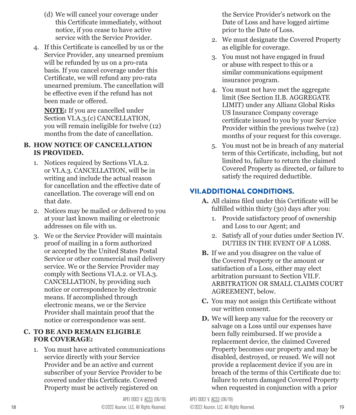- (d) We will cancel your coverage under this Certificate immediately, without notice, if you cease to have active service with the Service Provider.
- 4. If this Certificate is cancelled by us or the Service Provider, any unearned premium will be refunded by us on a pro-rata basis. If you cancel coverage under this Certificate, we will refund any pro-rata unearned premium. The cancellation will be effective even if the refund has not been made or offered.

**NOTE:** If you are cancelled under Section VI.A.3.(c) CANCELLATION, you will remain ineligible for twelve (12) months from the date of cancellation.

#### **B. HOW NOTICE OF CANCELLATION IS PROVIDED.**

- 1. Notices required by Sections VI.A.2. or VI.A.3. CANCELLATION, will be in writing and include the actual reason for cancellation and the effective date of cancellation. The coverage will end on that date.
- 2. Notices may be mailed or delivered to you at your last known mailing or electronic addresses on file with us.
- 3. We or the Service Provider will maintain proof of mailing in a form authorized or accepted by the United States Postal Service or other commercial mail delivery service. We or the Service Provider may comply with Sections VI.A.2. or VI.A.3. CANCELLATION, by providing such notice or correspondence by electronic means. If accomplished through electronic means, we or the Service Provider shall maintain proof that the notice or correspondence was sent.

#### **C. TO BE AND REMAIN ELIGIBLE FOR COVERAGE:**

1. You must have activated communications service directly with your Service Provider and be an active and current subscriber of your Service Provider to be covered under this Certificate. Covered Property must be actively registered on

the Service Provider's network on the Date of Loss and have logged airtime prior to the Date of Loss.

- 2. We must designate the Covered Property as eligible for coverage.
- 3. You must not have engaged in fraud or abuse with respect to this or a similar communications equipment insurance program.
- 4. You must not have met the aggregate limit (See Section II.B. AGGREGATE LIMIT) under any Allianz Global Risks US Insurance Company coverage certificate issued to you by your Service Provider within the previous twelve (12) months of your request for this coverage.
- 5. You must not be in breach of any material term of this Certificate, including, but not limited to, failure to return the claimed Covered Property as directed, or failure to satisfy the required deductible.

#### VII.ADDITIONAL CONDITIONS.

- **A.** All claims filed under this Certificate will be fulfilled within thirty (30) days after you:
	- 1. Provide satisfactory proof of ownership and Loss to our Agent; and
	- 2. Satisfy all of your duties under Section IV. DUTIES IN THE EVENT OF A LOSS.
- **B.** If we and you disagree on the value of the Covered Property or the amount or satisfaction of a Loss, either may elect arbitration pursuant to Section VII.F. ARBITRATION OR SMALL CLAIMS COURT AGREEMENT, below.
- **C.** You may not assign this Certificate without our written consent.
- **D.** We will keep any value for the recovery or salvage on a Loss until our expenses have been fully reimbursed. If we provide a replacement device, the claimed Covered Property becomes our property and may be disabled, destroyed, or reused. We will not provide a replacement device if you are in breach of the terms of this Certificate due to: failure to return damaged Covered Property when requested in conjunction with a prior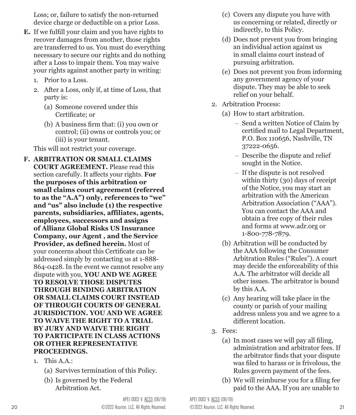Loss; or, failure to satisfy the non-returned device charge or deductible on a prior Loss.

- **E.** If we fulfill your claim and you have rights to recover damages from another, those rights are transferred to us. You must do everything necessary to secure our rights and do nothing after a Loss to impair them. You may waive your rights against another party in writing:
	- 1. Prior to a Loss.
	- 2. After a Loss, only if, at time of Loss, that party is:
		- (a) Someone covered under this Certificate; or
		- (b) A business firm that: (i) you own or control; (ii) owns or controls you; or (iii) is your tenant.

This will not restrict your coverage.

- **F. ARBITRATION OR SMALL CLAIMS COURT AGREEMENT.** Please read this section carefully. It affects your rights. **For the purposes of this arbitration or small claims court agreement (referred to as the "A.A") only, references to "we" and "us" also include (1) the respective parents, subsidiaries, affiliates, agents, employees, successors and assigns of Allianz Global Risks US Insurance Company, our Agent , and the Service Provider, as defined herein.** Most of your concerns about this Certificate can be addressed simply by contacting us at 1-888- 864-0428. In the event we cannot resolve any dispute with you, **YOU AND WE AGREE TO RESOLVE THOSE DISPUTES THROUGH BINDING ARBITRATION OR SMALL CLAIMS COURT INSTEAD OF THROUGH COURTS OF GENERAL JURISDICTION. YOU AND WE AGREE TO WAIVE THE RIGHT TO A TRIAL BY JURY AND WAIVE THE RIGHT TO PARTICIPATE IN CLASS ACTIONS OR OTHER REPRESENTATIVE PROCEEDINGS.**
	- 1. This A.A.:
		- (a) Survives termination of this Policy.
		- (b) Is governed by the Federal Arbitration Act.
- (c) Covers any dispute you have with us concerning or related, directly or indirectly, to this Policy.
- (d) Does not prevent you from bringing an individual action against us in small claims court instead of pursuing arbitration.
- (e) Does not prevent you from informing any government agency of your dispute. They may be able to seek relief on your behalf.
- 2. Arbitration Process:
	- (a) How to start arbitration.
		- Send a written Notice of Claim by certified mail to Legal Department, P.O. Box 110656, Nashville, TN 37222-0656.
		- Describe the dispute and relief sought in the Notice.
		- If the dispute is not resolved within thirty (30) days of receipt of the Notice, you may start an arbitration with the American Arbitration Association ("AAA"). You can contact the AAA and obtain a free copy of their rules and forms at www.adr.org or 1-800-778-7879.
	- (b) Arbitration will be conducted by the AAA following the Consumer Arbitration Rules ("Rules"). A court may decide the enforceability of this A.A. The arbitrator will decide all other issues. The arbitrator is bound by this A.A.
	- (c) Any hearing will take place in the county or parish of your mailing address unless you and we agree to a different location.
- 3. Fees:
	- (a) In most cases we will pay all filing, administration and arbitrator fees. If the arbitrator finds that your dispute was filed to harass or is frivolous, the Rules govern payment of the fees.
	- (b) We will reimburse you for a filing fee paid to the AAA. If you are unable to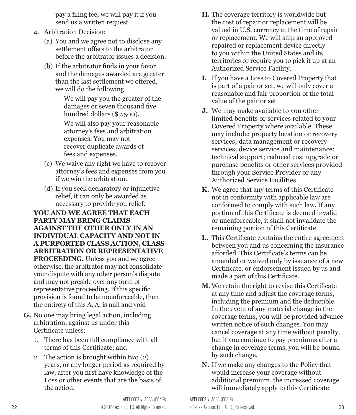pay a filing fee, we will pay it if you send us a written request.

- 4. Arbitration Decision:
	- (a) You and we agree not to disclose any settlement offers to the arbitrator before the arbitrator issues a decision.
	- (b) If the arbitrator finds in your favor and the damages awarded are greater than the last settlement we offered, we will do the following.
		- We will pay you the greater of the damages or seven thousand five hundred dollars (\$7,500).
		- We will also pay your reasonable attorney's fees and arbitration expenses. You may not recover duplicate awards of fees and expenses.
	- (c) We waive any right we have to recover attorney's fees and expenses from you if we win the arbitration.
	- (d) If you seek declaratory or injunctive relief, it can only be awarded as necessary to provide you relief.

**YOU AND WE AGREE THAT EACH PARTY MAY BRING CLAIMS AGAINST THE OTHER ONLY IN AN INDIVIDUAL CAPACITY AND NOT IN A PURPORTED CLASS ACTION, CLASS ARBITRATION OR REPRESENTATIVE PROCEEDING.** Unless you and we agree otherwise, the arbitrator may not consolidate your dispute with any other person's dispute and may not preside over any form of representative proceeding. If this specific provision is found to be unenforceable, then the entirety of this A. A. is null and void

- **G.** No one may bring legal action, including arbitration, against us under this Certificate unless:
	- 1. There has been full compliance with all terms of this Certificate; and
	- 2. The action is brought within two (2) years, or any longer period as required by law, after you first have knowledge of the Loss or other events that are the basis of the action.
- **H.** The coverage territory is worldwide but the cost of repair or replacement will be valued in U.S. currency at the time of repair or replacement. We will ship an approved repaired or replacement device directly to you within the United States and its territories or require you to pick it up at an Authorized Service Facility.
- **I.** If you have a Loss to Covered Property that is part of a pair or set, we will only cover a reasonable and fair proportion of the total value of the pair or set.
- **J.** We may make available to you other limited benefits or services related to your Covered Property where available. These may include: property location or recovery services; data management or recovery services; device service and maintenance; technical support; reduced cost upgrade or purchase benefits or other services provided through your Service Provider or any Authorized Service Facilities.
- **K.** We agree that any terms of this Certificate not in conformity with applicable law are conformed to comply with such law. If any portion of this Certificate is deemed invalid or unenforceable, it shall not invalidate the remaining portion of this Certificate.
- **L.** This Certificate contains the entire agreement between you and us concerning the insurance afforded. This Certificate's terms can be amended or waived only by issuance of a new Certificate, or endorsement issued by us and made a part of this Certificate.
- **M.**We retain the right to revise this Certificate at any time and adjust the coverage terms, including the premium and the deductible. In the event of any material change in the coverage terms, you will be provided advance written notice of such changes. You may cancel coverage at any time without penalty, but if you continue to pay premiums after a change in coverage terms, you will be bound by such change.
- **N.** If we make any changes to the Policy that would increase your coverage without additional premium, the increased coverage will immediately apply to this Certificate.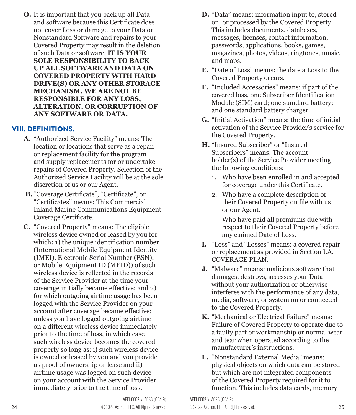**O.** It is important that you back up all Data and software because this Certificate does not cover Loss or damage to your Data or Nonstandard Software and repairs to your Covered Property may result in the deletion of such Data or software. **IT IS YOUR SOLE RESPONSIBILITY TO BACK UP ALL SOFTWARE AND DATA ON COVERED PROPERTY WITH HARD DRIVE(S) OR ANY OTHER STORAGE MECHANISM. WE ARE NOT BE RESPONSIBLE FOR ANY LOSS, ALTERATION, OR CORRUPTION OF ANY SOFTWARE OR DATA.**

#### VIII. DEFINITIONS.

- **A.** "Authorized Service Facility" means: The location or locations that serve as a repair or replacement facility for the program and supply replacements for or undertake repairs of Covered Property. Selection of the Authorized Service Facility will be at the sole discretion of us or our Agent.
- **B.** "Coverage Certificate", "Certificate", or "Certificates" means: This Commercial Inland Marine Communications Equipment Coverage Certificate.
- **C.** "Covered Property" means: The eligible wireless device owned or leased by you for which: 1) the unique identification number (International Mobile Equipment Identity (IMEI), Electronic Serial Number (ESN), or Mobile Equipment ID (MEID)) of such wireless device is reflected in the records of the Service Provider at the time your coverage initially became effective; and 2) for which outgoing airtime usage has been logged with the Service Provider on your account after coverage became effective; unless you have logged outgoing airtime on a different wireless device immediately prior to the time of loss, in which case such wireless device becomes the covered property so long as: i) such wireless device is owned or leased by you and you provide us proof of ownership or lease and ii) airtime usage was logged on such device on your account with the Service Provider immediately prior to the time of loss.
- **D.** "Data" means: information input to, stored on, or processed by the Covered Property. This includes documents, databases, messages, licenses, contact information, passwords, applications, books, games, magazines, photos, videos, ringtones, music, and maps.
- **E.** "Date of Loss" means: the date a Loss to the Covered Property occurs.
- **F.** "Included Accessories" means: if part of the covered loss, one Subscriber Identification Module (SIM) card; one standard battery; and one standard battery charger.
- **G.** "Initial Activation" means: the time of initial activation of the Service Provider's service for the Covered Property.
- **H.** "Insured Subscriber" or "Insured Subscribers" means: The account holder(s) of the Service Provider meeting the following conditions:
	- 1. Who have been enrolled in and accepted for coverage under this Certificate.
	- 2. Who have a complete description of their Covered Property on file with us or our Agent.

Who have paid all premiums due with respect to their Covered Property before any claimed Date of Loss.

- **I.** "Loss" and "Losses" means: a covered repair or replacement as provided in Section I.A. COVERAGE PLAN.
- **J.** "Malware" means: malicious software that damages, destroys, accesses your Data without your authorization or otherwise interferes with the performance of any data, media, software, or system on or connected to the Covered Property.
- **K.** "Mechanical or Electrical Failure" means: Failure of Covered Property to operate due to a faulty part or workmanship or normal wear and tear when operated according to the manufacturer's instructions.
- **L.** "Nonstandard External Media" means: physical objects on which data can be stored but which are not integrated components of the Covered Property required for it to function. This includes data cards, memory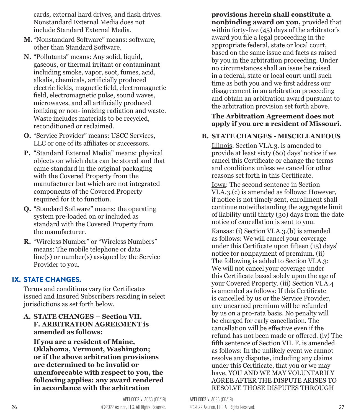cards, external hard drives, and flash drives. Nonstandard External Media does not include Standard External Media.

- **M.** "Nonstandard Software" means: software, other than Standard Software.
- **N.** "Pollutants" means: Any solid, liquid, gaseous, or thermal irritant or contaminant including smoke, vapor, soot, fumes, acid, alkalis, chemicals, artificially produced electric fields, magnetic field, electromagnetic field, electromagnetic pulse, sound waves, microwaves, and all artificially produced ionizing or non- ionizing radiation and waste. Waste includes materials to be recycled, reconditioned or reclaimed.
- **O.** "Service Provider" means: USCC Services, LLC or one of its affiliates or successors.
- **P.** "Standard External Media" means: physical objects on which data can be stored and that came standard in the original packaging with the Covered Property from the manufacturer but which are not integrated components of the Covered Property required for it to function.
- **Q.** "Standard Software" means: the operating system pre-loaded on or included as standard with the Covered Property from the manufacturer.
- **R.** "Wireless Number" or "Wireless Numbers" means: The mobile telephone or data line(s) or number(s) assigned by the Service Provider to you.

#### IX. STATE CHANGES.

Terms and conditions vary for Certificates issued and Insured Subscribers residing in select jurisdictions as set forth below.

#### **A. STATE CHANGES – Section VII. F. ARBITRATION AGREEMENT is amended as follows:**

**If you are a resident of Maine, Oklahoma, Vermont, Washington; or if the above arbitration provisions are determined to be invalid or unenforceable with respect to you, the following applies: any award rendered in accordance with the arbitration** 

**provisions herein shall constitute a nonbinding award on you,** provided that within forty-five (45) days of the arbitrator's award you file a legal proceeding in the appropriate federal, state or local court, based on the same issue and facts as raised by you in the arbitration proceeding. Under no circumstances shall an issue be raised in a federal, state or local court until such time as both you and we first address our disagreement in an arbitration proceeding and obtain an arbitration award pursuant to the arbitration provision set forth above.

#### **The Arbitration Agreement does not apply if you are a resident of Missouri.**

#### **B. STATE CHANGES - MISCELLANEOUS**

Illinois: Section VI.A.3. is amended to provide at least sixty (60) days' notice if we cancel this Certificate or change the terms and conditions unless we cancel for other reasons set forth in this Certificate.

Iowa: The second sentence in Section VI.A.3.(c) is amended as follows: However, if notice is not timely sent, enrollment shall continue notwithstanding the aggregate limit of liability until thirty (30) days from the date notice of cancellation is sent to you.

Kansas: (i) Section VI.A.3.(b) is amended as follows: We will cancel your coverage under this Certificate upon fifteen (15) days' notice for nonpayment of premium. (ii) The following is added to Section VI.A.3: We will not cancel your coverage under this Certificate based solely upon the age of your Covered Property. (iii) Section VI.A.4 is amended as follows: If this Certificate is cancelled by us or the Service Provider, any unearned premium will be refunded by us on a pro-rata basis. No penalty will be charged for early cancellation. The cancellation will be effective even if the refund has not been made or offered. (iv) The fifth sentence of Section VII. F. is amended as follows: In the unlikely event we cannot resolve any disputes, including any claims under this Certificate, that you or we may have, YOU AND WE MAY VOLUNTARILY AGREE AFTER THE DISPUTE ARISES TO RESOLVE THOSE DISPUTES THROUGH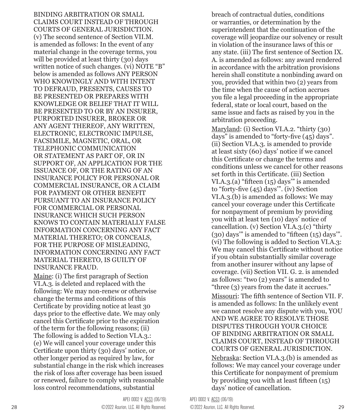BINDING ARBITRATION OR SMALL CLAIMS COURT INSTEAD OF THROUGH COURTS OF GENERAL JURISDICTION. (v) The second sentence of Section VII.M. is amended as follows: In the event of any material change in the coverage terms, you will be provided at least thirty (30) days written notice of such changes. (vi) NOTE "B" below is amended as follows ANY PERSON WHO KNOWINGLY AND WITH INTENT TO DEFRAUD, PRESENTS, CAUSES TO BE PRESENTED OR PREPARES WITH KNOWLEDGE OR BELIEF THAT IT WILL BE PRESENTED TO OR BY AN INSURER, PURPORTED INSURER, BROKER OR ANY AGENT THEREOF, ANY WRITTEN, ELECTRONIC, ELECTRONIC IMPULSE, FACSIMILE, MAGNETIC, ORAL, OR TELEPHONIC COMMUNICATION OR STATEMENT AS PART OF, OR IN SUPPORT OF, AN APPLICATION FOR THE ISSUANCE OF, OR THE RATING OF AN INSURANCE POLICY FOR PERSONAL OR COMMERCIAL INSURANCE, OR A CLAIM FOR PAYMENT OR OTHER BENEFIT PURSUANT TO AN INSURANCE POLICY FOR COMMERCIAL OR PERSONAL INSURANCE WHICH SUCH PERSON KNOWS TO CONTAIN MATERIALLY FALSE INFORMATION CONCERNING ANY FACT MATERIAL THERETO; OR CONCEALS, FOR THE PURPOSE OF MISLEADING, INFORMATION CONCERNING ANY FACT MATERIAL THERETO, IS GUILTY OF INSURANCE FRAUD.

Maine: (i) The first paragraph of Section VI.A.3. is deleted and replaced with the following: We may non-renew or otherwise change the terms and conditions of this Certificate by providing notice at least 30 days prior to the effective date. We may only cancel this Certificate prior to the expiration of the term for the following reasons; (ii) The following is added to Section VI.A.3.: (e) We will cancel your coverage under this Certificate upon thirty (30) days' notice, or other longer period as required by law, for substantial change in the risk which increases the risk of loss after coverage has been issued or renewed, failure to comply with reasonable loss control recommendations, substantial

breach of contractual duties, conditions or warranties, or determination by the superintendent that the continuation of the coverage will jeopardize our solvency or result in violation of the insurance laws of this or any state. (iii) The first sentence of Section IX. A. is amended as follows: any award rendered in accordance with the arbitration provisions herein shall constitute a nonbinding award on you, provided that within two (2) years from the time when the cause of action accrues you file a legal proceeding in the appropriate federal, state or local court, based on the same issue and facts as raised by you in the arbitration proceeding.

Maryland: (i) Section VI.A.2. "thirty (30) days" is amended to "forty-five (45) days". (ii) Section VI.A.3. is amended to provide at least sixty (60) days' notice if we cancel this Certificate or change the terms and conditions unless we cancel for other reasons set forth in this Certificate. (iii) Section VI.A.3.(a) "fifteen (15) days'" is amended to "forty-five (45) days'". (iv) Section VI.A.3.(b) is amended as follows: We may cancel your coverage under this Certificate for nonpayment of premium by providing you with at least ten (10) days' notice of cancellation. (v) Section VI.A.3.(c) "thirty (30) days'" is amended to "fifteen (15) days'". (vi) The following is added to Section VI.A.3: We may cancel this Certificate without notice if you obtain substantially similar coverage from another insurer without any lapse of coverage. (vii) Section VII. G. 2. is amended as follows: "two (2) years" is amended to "three (3) years from the date it accrues."

Missouri: The fifth sentence of Section VII. F. is amended as follows: In the unlikely event we cannot resolve any dispute with you, YOU AND WE AGREE TO RESOLVE THOSE DISPUTES THROUGH YOUR CHOICE OF BINDING ARBITRATION OR SMALL CLAIMS COURT, INSTEAD OF THROUGH COURTS OF GENERAL JURISDICTION.

Nebraska: Section VI.A.3.(b) is amended as follows: We may cancel your coverage under this Certificate for nonpayment of premium by providing you with at least fifteen (15) days' notice of cancellation.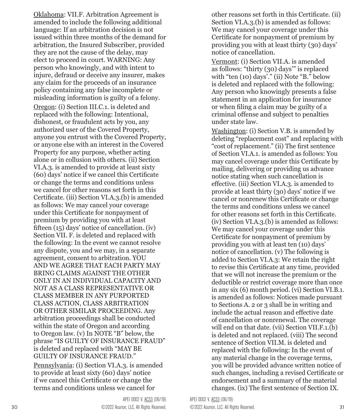Oklahoma: VII.F. Arbitration Agreement is amended to include the following additional language: If an arbitration decision is not issued within three months of the demand for arbitration, the Insured Subscriber, provided they are not the cause of the delay, may elect to proceed in court. WARNING: Any person who knowingly, and with intent to injure, defraud or deceive any insurer, makes any claim for the proceeds of an insurance policy containing any false incomplete or misleading information is guilty of a felony.

Oregon: (i) Section III.C.1. is deleted and replaced with the following: Intentional, dishonest, or fraudulent acts by you, any authorized user of the Covered Property, anyone you entrust with the Covered Property, or anyone else with an interest in the Covered Property for any purpose, whether acting alone or in collusion with others. (ii) Section VI.A.3. is amended to provide at least sixty (60) days' notice if we cancel this Certificate or change the terms and conditions unless we cancel for other reasons set forth in this Certificate. (iii) Section VI.A.3.(b) is amended as follows: We may cancel your coverage under this Certificate for nonpayment of premium by providing you with at least fifteen (15) days' notice of cancellation. (iv) Section VII. F. is deleted and replaced with the following: In the event we cannot resolve any dispute, you and we may, in a separate agreement, consent to arbitration. YOU AND WE AGREE THAT EACH PARTY MAY BRING CLAIMS AGAINST THE OTHER ONLY IN AN INDIVIDUAL CAPACITY AND NOT AS A CLASS REPRESENTATIVE OR CLASS MEMBER IN ANY PURPORTED CLASS ACTION, CLASS ARBITRATION OR OTHER SIMILAR PROCEEDING. Any arbitration proceedings shall be conducted within the state of Oregon and according to Oregon law. (v) In NOTE "B" below, the phrase "IS GUILTY OF INSURANCE FRAUD" is deleted and replaced with "MAY BE GUILTY OF INSURANCE FRAUD."

Pennsylvania: (i) Section VI.A.3. is amended to provide at least sixty (60) days' notice if we cancel this Certificate or change the terms and conditions unless we cancel for

other reasons set forth in this Certificate. (ii) Section VI.A.3.(b) is amended as follows: We may cancel your coverage under this Certificate for nonpayment of premium by providing you with at least thirty (30) days' notice of cancellation.

Vermont: (i) Section VII.A. is amended as follows: "thirty (30) days'" is replaced with "ten (10) days'." (ii) Note "B." below is deleted and replaced with the following: Any person who knowingly presents a false statement in an application for insurance or when filing a claim may be guilty of a criminal offense and subject to penalties under state law.

Washington: (i) Section V.B. is amended by deleting "replacement cost" and replacing with "cost of replacement." (ii) The first sentence of Section VI.A.1. is amended as follows: You may cancel coverage under this Certificate by mailing, delivering or providing us advance notice stating when such cancellation is effective. (iii) Section VI.A.3. is amended to provide at least thirty (30) days' notice if we cancel or nonrenew this Certificate or change the terms and conditions unless we cancel for other reasons set forth in this Certificate. (iv) Section VI.A.3.(b) is amended as follows: We may cancel your coverage under this Certificate for nonpayment of premium by providing you with at least ten (10) days' notice of cancellation. (v) The following is added to Section VI.A.3: We retain the right to revise this Certificate at any time, provided that we will not increase the premium or the deductible or restrict coverage more than once in any six (6) month period. (vi) Section VI.B.1. is amended as follows: Notices made pursuant to Sections A. 2 or 3 shall be in writing and include the actual reason and effective date of cancellation or nonrenewal. The coverage will end on that date. (vii) Section VII.F.1.(b) is deleted and not replaced. (viii) The second sentence of Section VII.M. is deleted and replaced with the following: In the event of any material change in the coverage terms, you will be provided advance written notice of such changes, including a revised Certificate or endorsement and a summary of the material changes. (ix) The first sentence of Section IX.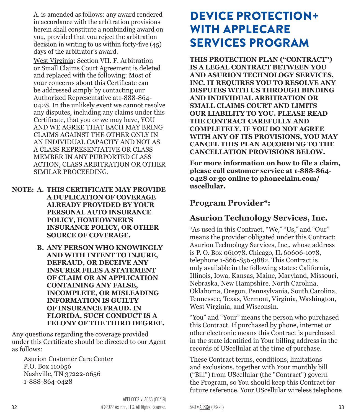<span id="page-16-0"></span>A. is amended as follows: any award rendered in accordance with the arbitration provisions herein shall constitute a nonbinding award on you, provided that you reject the arbitration decision in writing to us within forty-five (45) days of the arbitrator's award.

West Virginia: Section VII. F. Arbitration or Small Claims Court Agreement is deleted and replaced with the following: Most of your concerns about this Certificate can be addressed simply by contacting our Authorized Representative at1-888-864- 0428. In the unlikely event we cannot resolve any disputes, including any claims under this Certificate, that you or we may have, YOU AND WE AGREE THAT EACH MAY BRING CLAIMS AGAINST THE OTHER ONLY IN AN INDIVIDUAL CAPACITY AND NOT AS A CLASS REPRESENTATIVE OR CLASS MEMBER IN ANY PURPORTED CLASS ACTION, CLASS ARBITRATION OR OTHER SIMILAR PROCEEDING.

- **NOTE: A. THIS CERTIFICATE MAY PROVIDE A DUPLICATION OF COVERAGE ALREADY PROVIDED BY YOUR PERSONAL AUTO INSURANCE POLICY, HOMEOWNER'S INSURANCE POLICY, OR OTHER SOURCE OF COVERAGE.**
	- **B. ANY PERSON WHO KNOWINGLY AND WITH INTENT TO INJURE, DEFRAUD, OR DECEIVE ANY INSURER FILES A STATEMENT OF CLAIM OR AN APPLICATION CONTAINING ANY FALSE, INCOMPLETE, OR MISLEADING INFORMATION IS GUILTY OF INSURANCE FRAUD. IN FLORIDA, SUCH CONDUCT IS A FELONY OF THE THIRD DEGREE.**

Any questions regarding the coverage provided under this Certificate should be directed to our Agent as follows:

Asurion Customer Care Center P.O. Box 110656 Nashville, TN 37222-0656 1-888-864-0428

# DEVICE PROTECTION+ WITH APPLECARE SERVICES PROGRAM

**THIS PROTECTION PLAN ("CONTRACT") IS A LEGAL CONTRACT BETWEEN YOU AND ASURION TECHNOLOGY SERVICES, INC. IT REQUIRES YOU TO RESOLVE ANY DISPUTES WITH US THROUGH BINDING AND INDIVIDUAL ARBITRATION OR SMALL CLAIMS COURT AND LIMITS OUR LIABILITY TO YOU. PLEASE READ THE CONTRACT CAREFULLY AND COMPLETELY. IF YOU DO NOT AGREE WITH ANY OF ITS PROVISIONS, YOU MAY CANCEL THIS PLAN ACCORDING TO THE CANCELLATION PROVISIONS BELOW.** 

**For more information on how to file a claim, please call customer service at 1-888-864- 0428 or go online to phoneclaim.com/ uscellular.** 

#### **Program Provider\*:**

### **Asurion Technology Services, Inc.**

\*As used in this Contract, "We," "Us," and "Our" means the provider obligated under this Contract: Asurion Technology Services, Inc., whose address is P. O. Box 061078, Chicago, IL 60606-1078, telephone 1-866-856-3882. This Contract is only available in the following states: California, Illinois, Iowa, Kansas, Maine, Maryland, Missouri, Nebraska, New Hampshire, North Carolina, Oklahoma, Oregon, Pennsylvania, South Carolina, Tennessee, Texas, Vermont, Virginia, Washington, West Virginia, and Wisconsin.

"You" and "Your" means the person who purchased this Contract. If purchased by phone, internet or other electronic means this Contract is purchased in the state identified in Your billing address in the records of UScellular at the time of purchase.

These Contract terms, conditions, limitations and exclusions, together with Your monthly bill ("Bill") from UScellular (the "Contract") govern the Program, so You should keep this Contract for future reference. Your UScellular wireless telephone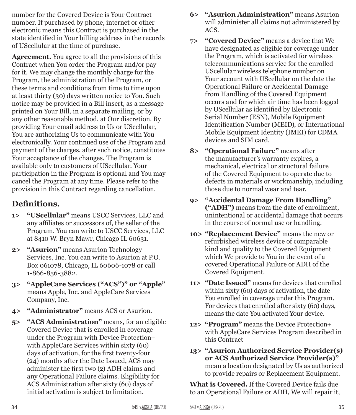number for the Covered Device is Your Contract number. If purchased by phone, internet or other electronic means this Contract is purchased in the state identified in Your billing address in the records of UScellular at the time of purchase.

**Agreement.** You agree to all the provisions of this Contract when You order the Program and/or pay for it. We may change the monthly charge for the Program, the administration of the Program, or these terms and conditions from time to time upon at least thirty (30) days written notice to You. Such notice may be provided in a Bill insert, as a message printed on Your Bill, in a separate mailing, or by any other reasonable method, at Our discretion. By providing Your email address to Us or UScellular, You are authorizing Us to communicate with You electronically. Your continued use of the Program and payment of the charges, after such notice, constitutes Your acceptance of the changes. The Program is available only to customers of UScellular. Your participation in the Program is optional and You may cancel the Program at any time. Please refer to the provision in this Contract regarding cancellation.

### **Definitions.**

- **1> "UScellular"** means USCC Services, LLC and any affiliates or successors of, the seller of the Program. You can write to USCC Services, LLC at 8410 W. Bryn Mawr, Chicago IL 60631.
- **2> "Asurion"** means Asurion Technology Services, Inc. You can write to Asurion at P.O. Box 061078, Chicago, IL 60606-1078 or call 1-866-856-3882.
- **3> "AppleCare Services ("ACS")" or "Apple"** means Apple, Inc. and AppleCare Services Company, Inc.
- **4> "Administrator"** means ACS or Asurion.
- **5> "ACS Administration"** means, for an eligible Covered Device that is enrolled in coverage under the Program with Device Protection+ with AppleCare Services within sixty (60) days of activation, for the first twenty-four (24) months after the Date Issued, ACS may administer the first two (2) ADH claims and any Operational Failure claims. Eligibility for ACS Administration after sixty (60) days of initial activation is subject to limitation.
- **6> "Asurion Administration"** means Asurion will administer all claims not administered by ACS.
- **7> "Covered Device"** means a device that We have designated as eligible for coverage under the Program, which is activated for wireless telecommunications service for the enrolled UScellular wireless telephone number on Your account with UScellular on the date the Operational Failure or Accidental Damage from Handling of the Covered Equipment occurs and for which air time has been logged by UScellular as identified by Electronic Serial Number (ESN), Mobile Equipment Identification Number (MEID), or International Mobile Equipment Identity (IMEI) for CDMA devices and SIM card.
- **8> "Operational Failure"** means after the manufacturer's warranty expires, a mechanical, electrical or structural failure of the Covered Equipment to operate due to defects in materials or workmanship, including those due to normal wear and tear.
- **9> "Accidental Damage From Handling" ("ADH")** means from the date of enrollment, unintentional or accidental damage that occurs in the course of normal use or handling.
- **10> "Replacement Device"** means the new or refurbished wireless device of comparable kind and quality to the Covered Equipment which We provide to You in the event of a covered Operational Failure or ADH of the Covered Equipment.
- **11> "Date Issued"** means for devices that enrolled within sixty (60) days of activation, the date You enrolled in coverage under this Program. For devices that enrolled after sixty (60) days, means the date You activated Your device.
- **12> "Program"** means the Device Protection+ with AppleCare Services Program described in this Contract
- **13> "Asurion Authorized Service Provider(s) or ACS Authorized Service Provider(s)"**  mean a location designated by Us as authorized to provide repairs or Replacement Equipment.

**What is Covered.** If the Covered Device fails due to an Operational Failure or ADH, We will repair it,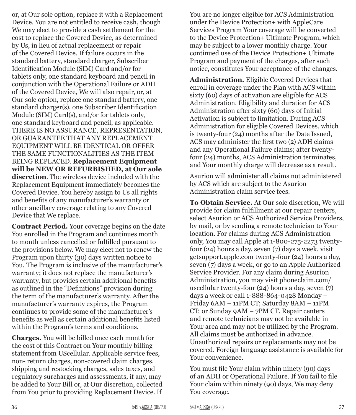or, at Our sole option, replace it with a Replacement Device. You are not entitled to receive cash, though We may elect to provide a cash settlement for the cost to replace the Covered Device, as determined by Us, in lieu of actual replacement or repair of the Covered Device. If failure occurs in the standard battery, standard charger, Subscriber Identification Module (SIM) Card and/or for tablets only, one standard keyboard and pencil in conjunction with the Operational Failure or ADH of the Covered Device, We will also repair, or, at Our sole option, replace one standard battery, one standard charger(s), one Subscriber Identification Module (SIM) Card(s), and/or for tablets only, one standard keyboard and pencil, as applicable. THERE IS NO ASSURANCE, REPRESENTATION, OR GUARANTEE THAT ANY REPLACEMENT EQUIPMENT WILL BE IDENTICAL OR OFFER THE SAME FUNCTIONALITIES AS THE ITEM BEING REPLACED. **Replacement Equipment will be NEW OR REFURBISHED, at Our sole discretion**. The wireless device included with the Replacement Equipment immediately becomes the Covered Device. You hereby assign to Us all rights and benefits of any manufacturer's warranty or other ancillary coverage relating to any Covered Device that We replace.

**Contract Period.** Your coverage begins on the date You enrolled in the Program and continues month to month unless cancelled or fulfilled pursuant to the provisions below. We may elect not to renew the Program upon thirty (30) days written notice to You. The Program is inclusive of the manufacturer's warranty; it does not replace the manufacturer's warranty, but provides certain additional benefits as outlined in the "Definitions" provision during the term of the manufacturer's warranty. After the manufacturer's warranty expires, the Program continues to provide some of the manufacturer's benefits as well as certain additional benefits listed within the Program's terms and conditions.

**Charges.** You will be billed once each month for the cost of this Contract on Your monthly billing statement from UScellular. Applicable service fees, non- return charges, non-covered claim charges, shipping and restocking charges, sales taxes, and regulatory surcharges and assessments, if any, may be added to Your Bill or, at Our discretion, collected from You prior to providing Replacement Device. If

You are no longer eligible for ACS Administration under the Device Protection+ with AppleCare Services Program Your coverage will be converted to the Device Protection+ Ultimate Program, which may be subject to a lower monthly charge. Your continued use of the Device Protection+ Ultimate Program and payment of the charges, after such notice, constitutes Your acceptance of the changes.

**Administration.** Eligible Covered Devices that enroll in coverage under the Plan with ACS within sixty (60) days of activation are eligible for ACS Administration. Eligibility and duration for ACS Administration after sixty (60) days of Initial Activation is subject to limitation. During ACS Administration for eligible Covered Devices, which is twenty-four (24) months after the Date Issued, ACS may administer the first two (2) ADH claims and any Operational Failure claims; after twentyfour (24) months, ACS Administration terminates, and Your monthly charge will decrease as a result.

Asurion will administer all claims not administered by ACS which are subject to the Asurion Administration claim service fees.

**To Obtain Service.** At Our sole discretion, We will provide for claim fulfillment at our repair centers, select Asurion or ACS Authorized Service Providers, by mail, or by sending a remote technician to Your location. For claims during ACS Administration only, You may call Apple at 1-800-275-2273 twentyfour (24) hours a day, seven (7) days a week, visit getsupport.apple.com twenty-four (24) hours a day, seven (7) days a week, or go to an Apple Authorized Service Provider. For any claim during Asurion Administration, you may visit phoneclaim.com/ uscellular twenty-four (24) hours a day, seven (7) days a week or call 1-888-864-0428 Monday – Friday 6AM – 11PM CT; Saturday 8AM – 11PM CT; or Sunday 9AM – 7PM CT. Repair centers and remote technicians may not be available in Your area and may not be utilized by the Program. All claims must be authorized in advance. Unauthorized repairs or replacements may not be covered. Foreign language assistance is available for Your convenience.

You must file Your claim within ninety (90) days of an ADH or Operational Failure. If You fail to file Your claim within ninety (90) days, We may deny You coverage.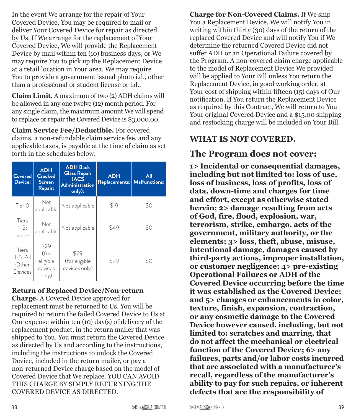In the event We arrange for the repair of Your Covered Device, You may be required to mail or deliver Your Covered Device for repair as directed by Us. If We arrange for the replacement of Your Covered Device, We will provide the Replacement Device by mail within ten (10) business days, or We may require You to pick up the Replacement Device at a retail location in Your area. We may require You to provide a government issued photo i.d., other than a professional or student license or i.d..

**Claim Limit.** A maximum of two (2) ADH claims will be allowed in any one twelve (12) month period. For any single claim, the maximum amount We will spend to replace or repair the Covered Device is \$3,000.00.

**Claim Service Fee/Deductible.** For covered claims, a non-refundable claim service fee, and any applicable taxes, is payable at the time of claim as set forth in the schedules below:

| Covered<br>Device:                      | <b>ADH</b><br><b>Cracked</b><br>Screen<br>Repair: | <b>ADH Back</b><br><b>Glass Repair</b><br>(ACS<br><b>Administration</b><br>only): | <b>ADH</b><br>Replacements: Malfunctions: | All |
|-----------------------------------------|---------------------------------------------------|-----------------------------------------------------------------------------------|-------------------------------------------|-----|
| Tier $\Omega$                           | Not<br>applicable                                 | Not applicable                                                                    | \$19                                      | \$0 |
| Tiers<br>$1 - 5:$<br>Tablets            | Not<br>applicable                                 | Not applicable                                                                    | \$49                                      | \$0 |
| Tiers<br>$1-5:$ All<br>Other<br>Devices | \$29<br>(for<br>eligible<br>devices<br>only)      | \$29<br>(for eligible<br>devices only)                                            | \$99                                      | \$0 |

#### **Return of Replaced Device/Non-return**

**Charge.** A Covered Device approved for replacement must be returned to Us. You will be required to return the failed Covered Device to Us at Our expense within ten (10) day(s) of delivery of the replacement product, in the return mailer that was shipped to You. You must return the Covered Device as directed by Us and according to the instructions, including the instructions to unlock the Covered Device, included in the return mailer, or pay a non-returned Device charge based on the model of Covered Device that We replace. YOU CAN AVOID THIS CHARGE BY SIMPLY RETURNING THE COVERED DEVICE AS DIRECTED.

**Charge for Non-Covered Claims.** If We ship You a Replacement Device, We will notify You in writing within thirty (30) days of the return of the replaced Covered Device and will notify You if We determine the returned Covered Device did not suffer ADH or an Operational Failure covered by the Program. A non-covered claim charge applicable to the model of Replacement Device We provided will be applied to Your Bill unless You return the Replacement Device, in good working order, at Your cost of shipping within fifteen (15) days of Our notification. If You return the Replacement Device as required by this Contract, We will return to You Your original Covered Device and a \$15.00 shipping and restocking charge will be included on Your Bill.

#### **WHAT IS NOT COVERED.**

#### **The Program does not cover:**

**1> Incidental or consequential damages, including but not limited to: loss of use, loss of business, loss of profits, loss of data, down-time and charges for time and effort, except as otherwise stated herein; 2> damage resulting from acts of God, fire, flood, explosion, war, terrorism, strike, embargo, acts of the government, military authority, or the elements; 3> loss, theft, abuse, misuse, intentional damage, damages caused by third-party actions, improper installation, or customer negligence; 4> pre-existing Operational Failures or ADH of the Covered Device occurring before the time it was established as the Covered Device; and 5> changes or enhancements in color, texture, finish, expansion, contraction, or any cosmetic damage to the Covered Device however caused, including, but not limited to: scratches and marring, that do not affect the mechanical or electrical function of the Covered Device; 6> any failures, parts and/or labor costs incurred that are associated with a manufacturer's recall, regardless of the manufacturer's ability to pay for such repairs, or inherent defects that are the responsibility of**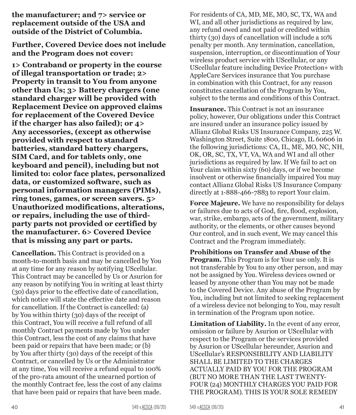**the manufacturer; and 7> service or replacement outside of the USA and outside of the District of Columbia.**

**Further, Covered Device does not include and the Program does not cover:**

**1> Contraband or property in the course of illegal transportation or trade; 2> Property in transit to You from anyone other than Us; 3> Battery chargers (one standard charger will be provided with Replacement Device on approved claims for replacement of the Covered Device if the charger has also failed); or 4> Any accessories, (except as otherwise provided with respect to standard batteries, standard battery chargers, SIM Card, and for tablets only, one keyboard and pencil), including but not limited to: color face plates, personalized data, or customized software, such as personal information managers (PIMs), ring tones, games, or screen savers. 5> Unauthorized modifications, alterations, or repairs, including the use of thirdparty parts not provided or certified by the manufacturer. 6> Covered Device that is missing any part or parts.**

**Cancellation.** This Contract is provided on a month-to-month basis and may be cancelled by You at any time for any reason by notifying UScellular. This Contract may be cancelled by Us or Asurion for any reason by notifying You in writing at least thirty (30) days prior to the effective date of cancellation, which notice will state the effective date and reason for cancellation. If the Contract is cancelled: (a) by You within thirty (30) days of the receipt of this Contract, You will receive a full refund of all monthly Contract payments made by You under this Contract, less the cost of any claims that have been paid or repairs that have been made; or (b) by You after thirty (30) days of the receipt of this Contract, or cancelled by Us or the Administrator at any time, You will receive a refund equal to 100% of the pro-rata amount of the unearned portion of the monthly Contract fee, less the cost of any claims that have been paid or repairs that have been made.

For residents of CA, MD, ME, MO, SC, TX, WA and WI, and all other jurisdictions as required by law, any refund owed and not paid or credited within thirty (30) days of cancellation will include a 10% penalty per month. Any termination, cancellation, suspension, interruption, or discontinuation of Your wireless product service with UScellular, or any UScellular feature including Device Protection+ with AppleCare Services insurance that You purchase in combination with this Contract, for any reason constitutes cancellation of the Program by You, subject to the terms and conditions of this Contract.

**Insurance.** This Contract is not an insurance policy, however, Our obligations under this Contract are insured under an insurance policy issued by Allianz Global Risks US Insurance Company, 225 W. Washington Street, Suite 1800, Chicago, IL 60606 in the following jurisdictions: CA, IL, ME, MO, NC, NH, OK, OR, SC, TX, VT, VA, WA and WI and all other jurisdictions as required by law. If We fail to act on Your claim within sixty (60) days, or if we become insolvent or otherwise financially impaired You may contact Allianz Global Risks US Insurance Company directly at 1-888-466-7883 to report Your claim.

**Force Majeure.** We have no responsibility for delays or failures due to acts of God, fire, flood, explosion, war, strike, embargo, acts of the government, military authority, or the elements, or other causes beyond Our control, and in such event, We may cancel this Contract and the Program immediately.

**Prohibitions on Transfer and Abuse of the Program.** This Program is for Your use only. It is not transferable by You to any other person, and may not be assigned by You. Wireless devices owned or leased by anyone other than You may not be made to the Covered Device. Any abuse of the Program by You, including but not limited to seeking replacement of a wireless device not belonging to You, may result in termination of the Program upon notice.

**Limitation of Liability.** In the event of any error, omission or failure by Asurion or UScellular with respect to the Program or the services provided by Asurion or UScellular hereunder, Asurion and UScellular's RESPONSIBILITY AND LIABILITY SHALL BE LIMITED TO THE CHARGES ACTUALLY PAID BY YOU FOR THE PROGRAM (BUT NO MORE THAN THE LAST TWENTY-FOUR (24) MONTHLY CHARGES YOU PAID FOR THE PROGRAM). THIS IS YOUR SOLE REMEDY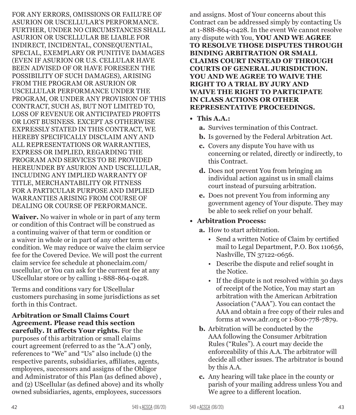FOR ANY ERRORS, OMISSIONS OR FAILURE OF ASURION OR USCELLULAR'S PERFORMANCE. FURTHER, UNDER NO CIRCUMSTANCES SHALL ASURION OR USCELLULAR BE LIABLE FOR INDIRECT, INCIDENTAL, CONSEQUENTIAL, SPECIAL, EXEMPLARY OR PUNITIVE DAMAGES (EVEN IF ASURION OR U.S. CELLULAR HAVE BEEN ADVISED OF OR HAVE FORESEEN THE POSSIBILITY OF SUCH DAMAGES), ARISING FROM THE PROGRAM OR ASURION OR USCELLULAR PERFORMANCE UNDER THE PROGRAM, OR UNDER ANY PROVISION OF THIS CONTRACT, SUCH AS, BUT NOT LIMITED TO, LOSS OF REVENUE OR ANTICIPATED PROFITS OR LOST BUSINESS. EXCEPT AS OTHERWISE EXPRESSLY STATED IN THIS CONTRACT, WE HEREBY SPECIFICALLY DISCLAIM ANY AND ALL REPRESENTATIONS OR WARRANTIES, EXPRESS OR IMPLIED, REGARDING THE PROGRAM AND SERVICES TO BE PROVIDED HEREUNDER BY ASURION AND USCELLULAR, INCLUDING ANY IMPLIED WARRANTY OF TITLE, MERCHANTABILITY OR FITNESS FOR A PARTICULAR PURPOSE AND IMPLIED WARRANTIES ARISING FROM COURSE OF DEALING OR COURSE OF PERFORMANCE.

**Waiver.** No waiver in whole or in part of any term or condition of this Contract will be construed as a continuing waiver of that term or condition or a waiver in whole or in part of any other term or condition. We may reduce or waive the claim service fee for the Covered Device. We will post the current claim service fee schedule at phoneclaim.com/ uscellular, or You can ask for the current fee at any UScellular store or by calling 1-888-864-0428.

Terms and conditions vary for UScellular customers purchasing in some jurisdictions as set forth in this Contract.

**Arbitration or Small Claims Court Agreement. Please read this section carefully. It affects Your rights.** For the purposes of this arbitration or small claims court agreement (referred to as the "A.A") only, references to "We" and "Us" also include (1) the respective parents, subsidiaries, affiliates, agents, employees, successors and assigns of the Obligor and Administrator of this Plan (as defined above) , and (2) UScellular (as defined above) and its wholly owned subsidiaries, agents, employees, successors

and assigns. Most of Your concerns about this Contract can be addressed simply by contacting Us at 1-888-864-0428. In the event We cannot resolve any dispute with You, **YOU AND WE AGREE TO RESOLVE THOSE DISPUTES THROUGH BINDING ARBITRATION OR SMALL CLAIMS COURT INSTEAD OF THROUGH COURTS OF GENERAL JURISDICTION. YOU AND WE AGREE TO WAIVE THE RIGHT TO A TRIAL BY JURY AND WAIVE THE RIGHT TO PARTICIPATE IN CLASS ACTIONS OR OTHER REPRESENTATIVE PROCEEDINGS.**

- **• This A.A.:**
	- **a.** Survives termination of this Contract.
	- **b.** Is governed by the Federal Arbitration Act.
	- **c.** Covers any dispute You have with us concerning or related, directly or indirectly, to this Contract.
	- **d.** Does not prevent You from bringing an individual action against us in small claims court instead of pursuing arbitration.
	- **e.** Does not prevent You from informing any government agency of Your dispute. They may be able to seek relief on your behalf.

#### **• Arbitration Process:**

- **a.** How to start arbitration.
	- Send a written Notice of Claim by certified mail to Legal Department, P.O. Box 110656, Nashville, TN 37122-0656.
	- Describe the dispute and relief sought in the Notice.
	- If the dispute is not resolved within 30 days of receipt of the Notice, You may start an arbitration with the American Arbitration Association ("AAA"). You can contact the AAA and obtain a free copy of their rules and forms at www.adr.org or 1-800-778-7879.
- **b.** Arbitration will be conducted by the AAA following the Consumer Arbitration Rules ("Rules"). A court may decide the enforceability of this A.A. The arbitrator will decide all other issues. The arbitrator is bound by this A.A.
- **c.** Any hearing will take place in the county or parish of your mailing address unless You and We agree to a different location.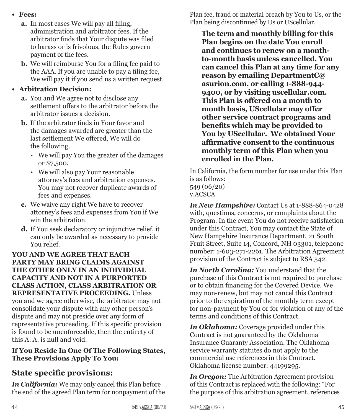- **• Fees:**
	- **a.** In most cases We will pay all filing, administration and arbitrator fees. If the arbitrator finds that Your dispute was filed to harass or is frivolous, the Rules govern payment of the fees.
	- **b.** We will reimburse You for a filing fee paid to the AAA. If you are unable to pay a filing fee, We will pay it if you send us a written request.

#### **• Arbitration Decision:**

- **a.** You and We agree not to disclose any settlement offers to the arbitrator before the arbitrator issues a decision.
- **b.** If the arbitrator finds in Your favor and the damages awarded are greater than the last settlement We offered, We will do the following.
	- We will pay You the greater of the damages or \$7,500.
	- We will also pay Your reasonable attorney's fees and arbitration expenses. You may not recover duplicate awards of fees and expenses.
- **c.** We waive any right We have to recover attorney's fees and expenses from You if We win the arbitration.
- **d.** If You seek declaratory or injunctive relief, it can only be awarded as necessary to provide You relief.

#### **YOU AND WE AGREE THAT EACH PARTY MAY BRING CLAIMS AGAINST THE OTHER ONLY IN AN INDIVIDUAL CAPACITY AND NOT IN A PURPORTED CLASS ACTION, CLASS ARBITRATION OR REPRESENTATIVE PROCEEDING.** Unless you and we agree otherwise, the arbitrator may not consolidate your dispute with any other person's dispute and may not preside over any form of representative proceeding. If this specific provision is found to be unenforceable, then the entirety of this A. A. is null and void.

#### **If You Reside In One Of The Following States, These Provisions Apply To You:**

#### **State specific provisions:**

*In California:* We may only cancel this Plan before the end of the agreed Plan term for nonpayment of the Plan fee, fraud or material breach by You to Us, or the Plan being discontinued by Us or UScellular.

**The term and monthly billing for this Plan begins on the date You enroll and continues to renew on a monthto-month basis unless cancelled. You can cancel this Plan at any time for any reason by emailing DepartmentC@ asurion.com, or calling 1-888-944- 9400, or by visiting uscellular.com. This Plan is offered on a month to month basis, UScellular may offer other service contract programs and benefits which may be provided to You by UScellular. We obtained Your affirmative consent to the continuous monthly term of this Plan when you enrolled in the Plan.** 

In California, the form number for use under this Plan is as follows: 549 (06/20) v.ACSCA

*In New Hampshire:* Contact Us at 1-888-864-0428 with, questions, concerns, or complaints about the Program. In the event You do not receive satisfaction under this Contract, You may contact the State of New Hampshire Insurance Department, 21 South Fruit Street, Suite 14, Concord, NH 03301, telephone number: 1-603-271-2261. The Arbitration Agreement provision of the Contract is subject to RSA 542.

*In North Carolina:* You understand that the purchase of this Contract is not required to purchase or to obtain financing for the Covered Device. We may non-renew, but may not cancel this Contract prior to the expiration of the monthly term except for non-payment by You or for violation of any of the terms and conditions of this Contract.

*In Oklahoma:* Coverage provided under this Contract is not guaranteed by the Oklahoma Insurance Guaranty Association. The Oklahoma service warranty statutes do not apply to the commercial use references in this Contract. Oklahoma license number: 44199295.

*In Oregon:* The Arbitration Agreement provision of this Contract is replaced with the following: "For the purpose of this arbitration agreement, references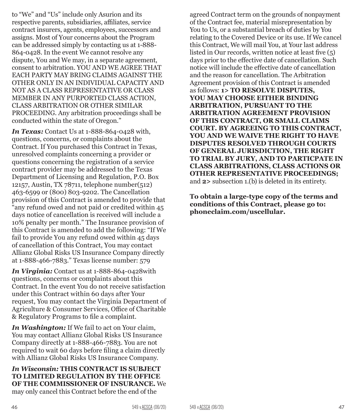to "We" and "Us" include only Asurion and its respective parents, subsidiaries, affiliates, service contract insurers, agents, employees, successors and assigns. Most of Your concerns about the Program can be addressed simply by contacting us at 1-888- 864-0428. In the event We cannot resolve any dispute, You and We may, in a separate agreement, consent to arbitration. YOU AND WE AGREE THAT EACH PARTY MAY BRING CLAIMS AGAINST THE OTHER ONLY IN AN INDIVIDUAL CAPACITY AND NOT AS A CLASS REPRESENTATIVE OR CLASS MEMBER IN ANY PURPORTED CLASS ACTION, CLASS ARBITRATION OR OTHER SIMILAR PROCEEDING. Any arbitration proceedings shall be conducted within the state of Oregon."

*In Texas:* Contact Us at 1-888-864-0428 with, questions, concerns, or complaints about the Contract. If You purchased this Contract in Texas, unresolved complaints concerning a provider or questions concerning the registration of a service contract provider may be addressed to the Texas Department of Licensing and Regulation, P.O. Box 12157, Austin, TX 78711, telephone number(512) 463-6599 or (800) 803-9202. The Cancellation provision of this Contract is amended to provide that "any refund owed and not paid or credited within 45 days notice of cancellation is received will include a 10% penalty per month." The Insurance provision of this Contract is amended to add the following: "If We fail to provide You any refund owed within 45 days of cancellation of this Contract, You may contact Allianz Global Risks US Insurance Company directly at 1-888-466-7883." Texas license number: 579

*In Virginia:* Contact us at 1-888-864-0428with questions, concerns or complaints about this Contract. In the event You do not receive satisfaction under this Contract within 60 days after Your request, You may contact the Virginia Department of Agriculture & Consumer Services, Office of Charitable & Regulatory Programs to file a complaint.

*In Washington:* If We fail to act on Your claim, You may contact Allianz Global Risks US Insurance Company directly at 1-888-466-7883. You are not required to wait 60 days before filing a claim directly with Allianz Global Risks US Insurance Company.

*In Wisconsin:* **THIS CONTRACT IS SUBJECT TO LIMITED REGULATION BY THE OFFICE OF THE COMMISSIONER OF INSURANCE.** We may only cancel this Contract before the end of the

agreed Contract term on the grounds of nonpayment of the Contract fee, material misrepresentation by You to Us, or a substantial breach of duties by You relating to the Covered Device or its use. If We cancel this Contract, We will mail You, at Your last address listed in Our records, written notice at least five (5) days prior to the effective date of cancellation. Such notice will include the effective date of cancellation and the reason for cancellation. The Arbitration Agreement provision of this Contract is amended as follows: **1> TO RESOLVE DISPUTES, YOU MAY CHOOSE EITHER BINDING ARBITRATION, PURSUANT TO THE ARBITRATION AGREEMENT PROVISION OF THIS CONTRACT, OR SMALL CLAIMS COURT. BY AGREEING TO THIS CONTRACT, YOU AND WE WAIVE THE RIGHT TO HAVE DISPUTES RESOLVED THROUGH COURTS OF GENERAL JURISDICTION, THE RIGHT TO TRIAL BY JURY, AND TO PARTICPATE IN CLASS ARBITRATIONS, CLASS ACTIONS OR OTHER REPRESENTATIVE PROCEEDINGS;** and **2>** subsection 1.(b) is deleted in its entirety.

**To obtain a large-type copy of the terms and conditions of this Contract, please go to: phoneclaim.com/uscellular.**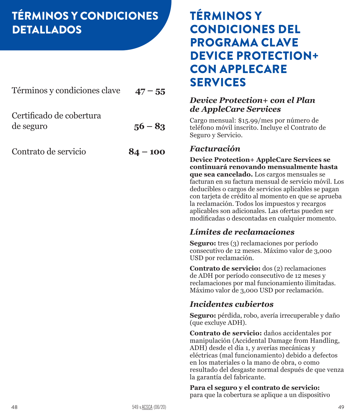# <span id="page-24-0"></span>TÉRMINOS Y CONDICIONES DETALLADOS

| Términos y condiciones clave $47 - 55$ |           |
|----------------------------------------|-----------|
| Certificado de cobertura<br>de seguro  | $56 - 83$ |

[Contrato de servicio](#page-42-0) **84 – 100**

## TÉRMINOS Y CONDICIONES DEL PROGRAMA CLAVE DEVICE PROTECTION+ CON APPLECARE SERVICES

### *Device Protection+ con el Plan de AppleCare Services*

Cargo mensual: \$15.99/mes por número de teléfono móvil inscrito. Incluye el Contrato de Seguro y Servicio.

#### *Facturación*

**Device Protection+ AppleCare Services se continuará renovando mensualmente hasta que sea cancelado.** Los cargos mensuales se facturan en su factura mensual de servicio móvil. Los deducibles o cargos de servicios aplicables se pagan con tarjeta de crédito al momento en que se aprueba la reclamación. Todos los impuestos y recargos aplicables son adicionales. Las ofertas pueden ser modificadas o descontadas en cualquier momento.

### *Límites de reclamaciones*

**Seguro:** tres (3) reclamaciones por período consecutivo de 12 meses. Máximo valor de 3,000 USD por reclamación.

**Contrato de servicio:** dos (2) reclamaciones de ADH por período consecutivo de 12 meses y reclamaciones por mal funcionamiento ilimitadas. Máximo valor de 3,000 USD por reclamación.

### *Incidentes cubiertos*

**Seguro:** pérdida, robo, avería irrecuperable y daño (que excluye ADH).

**Contrato de servicio:** daños accidentales por manipulación (Accidental Damage from Handling, ADH) desde el día 1, y averías mecánicas y eléctricas (mal funcionamiento) debido a defectos en los materiales o la mano de obra, o como resultado del desgaste normal después de que venza la garantía del fabricante.

#### **Para el seguro y el contrato de servicio:**

para que la cobertura se aplique a un dispositivo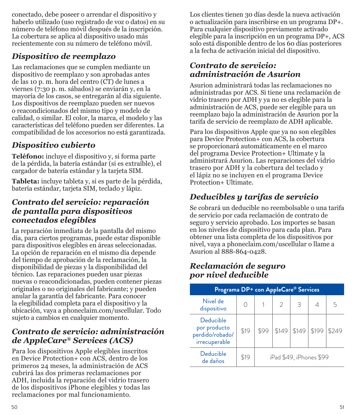conectado, debe poseer o arrendar el dispositivo y haberlo utilizado (uso registrado de voz o datos) en su número de teléfono móvil después de la inscripción. La cobertura se aplica al dispositivo usado más recientemente con su número de teléfono móvil.

### *Dispositivo de reemplazo*

Las reclamaciones que se cumplen mediante un dispositivo de reemplazo y son aprobadas antes de las 10 p. m. hora del centro (CT) de lunes a viernes (7:30 p. m. sábados) se enviarán y, en la mayoría de los casos, se entregarán al día siguiente. Los dispositivos de reemplazo pueden ser nuevos o reacondicionados del mismo tipo y modelo de calidad, o similar. El color, la marca, el modelo y las características del teléfono pueden ser diferentes. La compatibilidad de los accesorios no está garantizada.

### *Dispositivo cubierto*

**Teléfono:** incluye el dispositivo y, si forma parte de la pérdida, la batería estándar (si es extraíble), el cargador de batería estándar y la tarjeta SIM.

**Tableta:** incluye tableta y, si es parte de la pérdida, batería estándar, tarjeta SIM, teclado y lápiz.

#### *Contrato del servicio: reparación de pantalla para dispositivos conectados elegibles*

La reparación inmediata de la pantalla del mismo día, para ciertos programas, puede estar disponible para dispositivos elegibles en áreas seleccionadas. La opción de reparación en el mismo día depende del tiempo de aprobación de la reclamación, la disponibilidad de piezas y la disponibilidad del técnico. Las reparaciones pueden usar piezas nuevas o reacondicionadas, pueden contener piezas originales o no originales del fabricante; y pueden anular la garantía del fabricante. Para conocer la elegibilidad completa para el dispositivo y la ubicación, vaya a phoneclaim.com/uscellular. Todo sujeto a cambios en cualquier momento.

### *Contrato de servicio: administración de AppleCare® Services (ACS)*

Para los dispositivos Apple elegibles inscritos en Device Protection+ con ACS, dentro de los primeros 24 meses, la administración de ACS cubrirá las dos primeras reclamaciones por ADH, incluida la reparación del vidrio trasero de los dispositivos iPhone elegibles y todas las reclamaciones por mal funcionamiento.

Los clientes tienen 30 días desde la nueva activación o actualización para inscribirse en un programa DP+. Para cualquier dispositivo previamente activado elegible para la inscripción en un programa DP+, ACS solo está disponible dentro de los 60 días posteriores a la fecha de activación inicial del dispositivo.

#### *Contrato de servicio: administración de Asurion*

Asurion administrará todas las reclamaciones no administradas por ACS. Si tiene una reclamación de vidrio trasero por ADH y ya no es elegible para la administración de ACS, puede ser elegible para un reemplazo bajo la administración de Asurion por la tarifa de servicio de reemplazo de ADH aplicable.

Para los dispositivos Apple que ya no son elegibles para Device Protection+ con ACS, la cobertura se proporcionará automáticamente en el marco del programa Device Protection+ Ultimate y la administrará Asurion. Las reparaciones del vidrio trasero por ADH y la cobertura del teclado y el lápiz no se incluyen en el programa Device Protection+ Ultimate.

### *Deducibles y tarifas de servicio*

Se cobrará un deducible no reembolsable o una tarifa de servicio por cada reclamación de contrato de seguro y servicio aprobado. Los importes se basan en los niveles de dispositivo para cada plan. Para obtener una lista completa de los dispositivos por nivel, vaya a phoneclaim.com/uscellular o llame a Asurion al 888-864-0428.

#### *Reclamación de seguro por nivel deducible*

| Programa DP+ con AppleCare® Services                          |      |      |                         |       |       |       |
|---------------------------------------------------------------|------|------|-------------------------|-------|-------|-------|
| Nivel de<br>dispositivo                                       |      |      | $\overline{2}$          | 3     |       | 5     |
| Deducible<br>por producto<br>perdido/robado/<br>irrecuperable | \$19 | \$99 | \$149                   | \$149 | \$199 | \$249 |
| Deducible<br>de daños                                         | \$19 |      | iPad \$49, iPhones \$99 |       |       |       |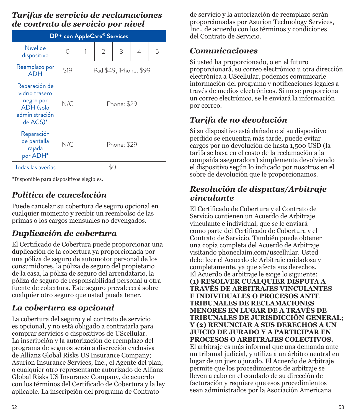#### *Tarifas de servicio de reclamaciones de contrato de servicio por nivel*

| <b>DP+</b> con AppleCare® Services                                                      |                                 |              |                |   |   |   |
|-----------------------------------------------------------------------------------------|---------------------------------|--------------|----------------|---|---|---|
| Nivel de<br>dispositivo                                                                 | ∩                               | 1            | $\overline{2}$ | 3 | 4 | 5 |
| Reemplazo por<br><b>ADH</b>                                                             | \$19<br>iPad \$49, iPhone: \$99 |              |                |   |   |   |
| Reparación de<br>vidrio trasero<br>negro por<br>ADH (solo<br>administración<br>de ACS)* | N/C                             | iPhone: \$29 |                |   |   |   |
| Reparación<br>de pantalla<br>rajada<br>por ADH*                                         | N/C                             | iPhone: \$29 |                |   |   |   |
| Todas las averías                                                                       | \$0                             |              |                |   |   |   |

\*Disponible para dispositivos elegibles.

### *Política de cancelación*

Puede cancelar su cobertura de seguro opcional en cualquier momento y recibir un reembolso de las primas o los cargos mensuales no devengados.

### *Duplicación de cobertura*

El Certificado de Cobertura puede proporcionar una duplicación de la cobertura ya proporcionada por una póliza de seguro de automotor personal de los consumidores, la póliza de seguro del propietario de la casa, la póliza de seguro del arrendatario, la póliza de seguro de responsabilidad personal u otra fuente de cobertura. Este seguro prevalecerá sobre cualquier otro seguro que usted pueda tener.

### *La cobertura es opcional*

La cobertura del seguro y el contrato de servicio es opcional, y no está obligado a contratarla para comprar servicios o dispositivos de UScellular. La inscripción y la autorización de reemplazo del programa de seguros serán a discreción exclusiva de Allianz Global Risks US Insurance Company; Asurion Insurance Services, Inc., el Agente del plan; o cualquier otro representante autorizado de Allianz Global Risks US Insurance Company, de acuerdo con los términos del Certificado de Cobertura y la ley aplicable. La inscripción del programa de Contrato

de servicio y la autorización de reemplazo serán proporcionadas por Asurion Technology Services, Inc., de acuerdo con los términos y condiciones del Contrato de Servicio.

### *Comunicaciones*

Si usted ha proporcionado, o en el futuro proporcionará, su correo electrónico u otra dirección electrónica a UScellular, podemos comunicarle información del programa y notificaciones legales a través de medios electrónicos. Si no se proporciona un correo electrónico, se le enviará la información por correo.

### *Tarifa de no devolución*

Si su dispositivo está dañado o si su dispositivo perdido se encuentra más tarde, puede evitar cargos por no devolución de hasta 1,500 USD (la tarifa se basa en el costo de la reclamación a la compañía aseguradora) simplemente devolviendo el dispositivo según lo indicado por nosotros en el sobre de devolución que le proporcionamos.

### *Resolución de disputas/Arbitraje vinculante*

El Certificado de Cobertura y el Contrato de Servicio contienen un Acuerdo de Arbitraje vinculante e individual, que se le enviará como parte del Certificado de Cobertura y el Contrato de Servicio. También puede obtener una copia completa del Acuerdo de Arbitraje visitando phoneclaim.com/uscellular. Usted debe leer el Acuerdo de Arbitraje cuidadosa y completamente, ya que afecta sus derechos. El Acuerdo de arbitraje le exige lo siguiente: **(1) RESOLVER CUALQUIER DISPUTA A TRAVÉS DE ARBITRAJES VINCULANTES E INDIVIDUALES O PROCESOS ANTE TRIBUNALES DE RECLAMACIONES MENORES EN LUGAR DE A TRAVÉS DE TRIBUNALES DE JURISDICCIÓN GENERAL; Y (2) RENUNCIAR A SUS DERECHOS A UN JUICIO DE JURADO Y A PARTICIPAR EN PROCESOS O ARBITRAJES COLECTIVOS.**  El arbitraje es más informal que una demanda ante un tribunal judicial, y utiliza a un árbitro neutral en lugar de un juez o jurado. El Acuerdo de Arbitraje permite que los procedimientos de arbitraje se lleven a cabo en el condado de su dirección de facturación y requiere que esos procedimientos sean administrados por la Asociación Americana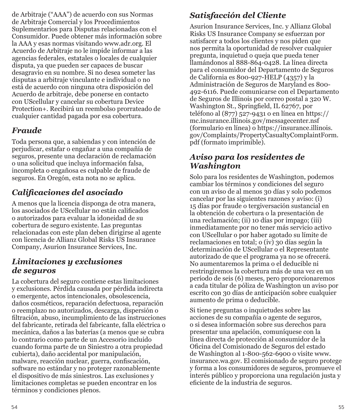de Arbitraje ("AAA") de acuerdo con sus Normas de Arbitraje Comercial y los Procedimientos Suplementarios para Disputas relacionadas con el Consumidor. Puede obtener más información sobre la AAA y esas normas visitando www.adr.org. El Acuerdo de Arbitraje no le impide informar a las agencias federales, estatales o locales de cualquier disputa, ya que pueden ser capaces de buscar desagravio en su nombre. Si no desea someter las disputas a arbitraje vinculante e individual o no está de acuerdo con ninguna otra disposición del Acuerdo de arbitraje, debe ponerse en contacto con UScellular y cancelar su cobertura Device Protection+. Recibirá un reembolso prorrateado de cualquier cantidad pagada por esa cobertura.

### *Fraude*

Toda persona que, a sabiendas y con intención de perjudicar, estafar o engañar a una compañía de seguros, presente una declaración de reclamación o una solicitud que incluya información falsa, incompleta o engañosa es culpable de fraude de seguros. En Oregón, esta nota no se aplica.

### *Calificaciones del asociado*

A menos que la licencia disponga de otra manera, los asociados de UScellular no están calificados o autorizados para evaluar la idoneidad de su cobertura de seguro existente. Las preguntas relacionadas con este plan deben dirigirse al agente con licencia de Allianz Global Risks US Insurance Company, Asurion Insurance Services, Inc.

#### *Limitaciones y exclusiones de seguros*

La cobertura del seguro contiene estas limitaciones y exclusiones. Pérdida causada por pérdida indirecta o emergente, actos intencionales, obsolescencia, daños cosméticos, reparación defectuosa, reparación o reemplazo no autorizados, descarga, dispersión o filtración, abuso, incumplimiento de las instrucciones del fabricante, retirada del fabricante, falla eléctrica o mecánica, daños a las baterías (a menos que se cubra lo contrario como parte de un Accesorio incluido cuando forma parte de un Siniestro a otra propiedad cubierta), daño accidental por manipulación, malware, reacción nuclear, guerra, confiscación, software no estándar y no proteger razonablemente el dispositivo de más siniestros. Las exclusiones y limitaciones completas se pueden encontrar en los términos y condiciones plenos.

### *Satisfacción del Cliente*

Asurion Insurance Services, Inc. y Allianz Global Risks US Insurance Company se esfuerzan por satisfacer a todos los clientes y nos piden que nos permita la oportunidad de resolver cualquier pregunta, inquietud o queja que pueda tener llamándonos al 888-864-0428. La línea directa para el consumidor del Departamento de Seguros de California es 800-927-HELP (4357) y la Administración de Seguros de Maryland es 800- 492-6116. Puede comunicarse con el Departamento de Seguros de Illinois por correo postal a 320 W. Washington St., Springfield, IL 62767, por teléfono al (877) 527-9431 o en línea en https:// mc.insurance.illinois.gov/messagecenter.nsf (formulario en línea) o https://insurance.illinois. gov/Complaints/PropertyCasualtyComplaintForm. pdf (formato imprimible).

### *Aviso para los residentes de Washington*

Solo para los residentes de Washington, podemos cambiar los términos y condiciones del seguro con un aviso de al menos 30 días y solo podemos cancelar por las siguientes razones y aviso: (i) 15 días por fraude o tergiversación sustancial en la obtención de cobertura o la presentación de una reclamación; (ii) 10 días por impago; (iii) inmediatamente por no tener más servicio activo con UScellular o por haber agotado su límite de reclamaciones en total; o (iv) 30 días según la determinación de UScellular o el Representante autorizado de que el programa ya no se ofrecerá. No aumentaremos la prima o el deducible ni restringiremos la cobertura más de una vez en un período de seis (6) meses, pero proporcionaremos a cada titular de póliza de Washington un aviso por escrito con 30 días de anticipación sobre cualquier aumento de prima o deducible.

Si tiene preguntas o inquietudes sobre las acciones de su compañía o agente de seguros, o si desea información sobre sus derechos para presentar una apelación, comuníquese con la línea directa de protección al consumidor de la Oficina del Comisionado de Seguros del estado de Washington al 1-800-562-6900 o visite www. insurance.wa.gov. El comisionado de seguro protege y forma a los consumidores de seguros, promueve el interés público y proporciona una regulación justa y eficiente de la industria de seguros.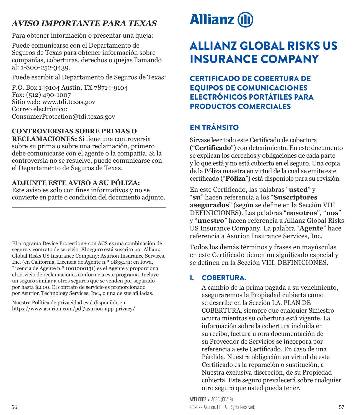### <span id="page-28-0"></span>*AVISO IMPORTANTE PARA TEXAS*

Para obtener información o presentar una queja:

Puede comunicarse con el Departamento de Seguros de Texas para obtener información sobre compañías, coberturas, derechos o quejas llamando al: 1-800-252-3439.

Puede escribir al Departamento de Seguros de Texas:

P.O. Box 149104 Austin, TX 78714-9104 Fax: (512) 490-1007 Sitio web: www.tdi.texas.gov Correo electrónico: ConsumerProtection@tdi.texas.gov

#### **CONTROVERSIAS SOBRE PRIMAS O**

**RECLAMACIONES:** Si tiene una controversia sobre su prima o sobre una reclamación, primero debe comunicarse con el agente o la compañía. Si la controversia no se resuelve, puede comunicarse con el Departamento de Seguros de Texas.

#### **ADJUNTE ESTE AVISO A SU PÓLIZA:**

Este aviso es solo con fines informativos y no se convierte en parte o condición del documento adjunto.

El programa Device Protection+ con ACS es una combinación de seguro y contrato de servicio. El seguro está suscrito por Allianz Global Risks US Insurance Company; Asurion Insurance Services, Inc. (en California, Licencia de Agente n.º 0B35141; en Iowa, Licencia de Agente n.º 1001000131) es el Agente y proporciona el servicio de reclamaciones conforme a este programa. Incluye un seguro similar a otros seguros que se venden por separado por hasta \$2.00. El contrato de servicio es proporcionado por Asurion Technology Services, Inc., o una de sus afiliadas.

Nuestra Política de privacidad está disponible en https://www.asurion.com/pdf/asurion-app-privacy/

# **Allianz (II)**

# ALLIANZ GLOBAL RISKS US INSURANCE COMPANY

CERTIFICADO DE COBERTURA DE EQUIPOS DE COMUNICACIONES ELECTRÓNICOS PORTÁTILES PARA PRODUCTOS COMERCIALES

### EN TRÁNSITO

Sírvase leer todo este Certificado de cobertura ("**Certificado**") con detenimiento. En este documento se explican los derechos y obligaciones de cada parte y lo que está y no está cubierto en el seguro. Una copia de la Póliza maestra en virtud de la cual se emite este certificado ("**Póliza**") está disponible para su revisión.

En este Certificado, las palabras "**usted**" y "**su**" hacen referencia a los "**Suscriptores asegurados**" (según se define en la Sección VIII DEFINICIONES). Las palabras "**nosotros**", "**nos**" y "**nuestro**" hacen referencia a Allianz Global Risks US Insurance Company. La palabra "**Agente**" hace referencia a Asurion Insurance Services, Inc.

Todos los demás términos y frases en mayúsculas en este Certificado tienen un significado especial y se definen en la Sección VIII. DEFINICIONES.

### I. COBERTURA.

A cambio de la prima pagada a su vencimiento, aseguraremos la Propiedad cubierta como se describe en la Sección I.A. PLAN DE COBERTURA, siempre que cualquier Siniestro ocurra mientras su cobertura está vigente. La información sobre la cobertura incluida en su recibo, factura u otra documentación de su Proveedor de Servicios se incorpora por referencia a este Certificado. En caso de una Pérdida, Nuestra obligación en virtud de este Certificado es la reparación o sustitución, a Nuestra exclusiva discreción, de su Propiedad cubierta. Este seguro prevalecerá sobre cualquier otro seguro que usted pueda tener.

©2022 Asurion, LLC. All Rights Reserved. 57 APEI 0002 V. ACS3 (06/19)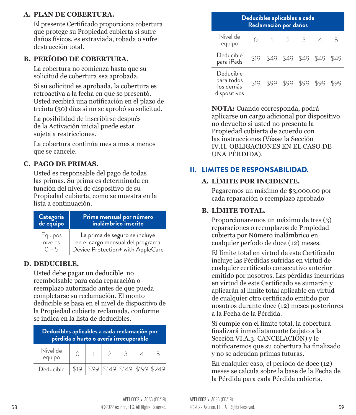#### **A. PLAN DE COBERTURA.**

El presente Certificado proporciona cobertura que protege su Propiedad cubierta si sufre daños físicos, es extraviada, robada o sufre destrucción total.

#### **B. PERÍODO DE COBERTURA.**

La cobertura no comienza hasta que su solicitud de cobertura sea aprobada.

Si su solicitud es aprobada, la cobertura es retroactiva a la fecha en que se presentó. Usted recibirá una notificación en el plazo de treinta (30) días si no se aprobó su solicitud.

La posibilidad de inscribirse después de la Activación inicial puede estar sujeta a restricciones.

La cobertura continúa mes a mes a menos que se cancele.

#### **C. PAGO DE PRIMAS.**

Usted es responsable del pago de todas las primas. Su prima es determinada en función del nivel de dispositivo de su Propiedad cubierta, como se muestra en la lista a continuación.

| Categoría<br>de equipo | Prima mensual por número<br>inalámbrico inscrito |
|------------------------|--------------------------------------------------|
| Equipos                | La prima de seguro se incluye                    |
| niveles                | en el cargo mensual del programa                 |
| $0 - 5$                | Device Protection+ with AppleCare                |

#### **D. DEDUCIBLE.**

Usted debe pagar un deducible no reembolsable para cada reparación o reemplazo autorizado antes de que pueda completarse su reclamación. El monto deducible se basa en el nivel de dispositivo de la Propiedad cubierta reclamada, conforme se indica en la lista de deducibles.

| Deducibles aplicables a cada reclamación por<br>pérdida o hurto o avería irrecuperable |      |  |  |                             |  |   |  |
|----------------------------------------------------------------------------------------|------|--|--|-----------------------------|--|---|--|
| Nivel de<br>equipo                                                                     |      |  |  | 3                           |  | 5 |  |
| Deducible                                                                              | \$19 |  |  | $5149$ $5149$ $5199$ $5249$ |  |   |  |

| Deducibles aplicables a cada<br>Reclamación por daños |      |      |      |      |      |     |
|-------------------------------------------------------|------|------|------|------|------|-----|
| Nivel de<br>equipo                                    |      |      |      | 3    |      | 5   |
| Deducible<br>para iPads                               | \$19 | \$49 | \$49 | \$49 | \$49 |     |
| Deducible<br>para todos<br>los demás<br>dispositivos  | \$19 | \$99 | \$99 | \$99 | \$99 | 599 |

**NOTA:** Cuando corresponda, podrá aplicarse un cargo adicional por dispositivo no devuelto si usted no presenta la Propiedad cubierta de acuerdo con las instrucciones (Véase la Sección IV.H. OBLIGACIONES EN EL CASO DE UNA PÉRDIDA).

### II. LIMITES DE RESPONSABILIDAD.

#### **A. LÍMITE POR INCIDENTE.**

Pagaremos un máximo de \$3,000.00 por cada reparación o reemplazo aprobado

#### **B. LÍMITE TOTAL.**

Proporcionaremos un máximo de tres (3) reparaciones o reemplazos de Propiedad cubierta por Número inalámbrico en cualquier período de doce (12) meses.

El límite total en virtud de este Certificado incluye las Pérdidas sufridas en virtud de cualquier certificado consecutivo anterior emitido por nosotros. Las pérdidas incurridas en virtud de este Certificado se sumarán y aplicarán al límite total aplicable en virtud de cualquier otro certificado emitido por nosotros durante doce (12) meses posteriores a la Fecha de la Pérdida.

Si cumple con el límite total, la cobertura finalizará inmediatamente (sujeto a la Sección VI.A.3. CANCELACIÓN) y le notificaremos que su cobertura ha finalizado y no se adeudan primas futuras.

En cualquier caso, el período de doce (12) meses se calcula sobre la base de la Fecha de la Pérdida para cada Pérdida cubierta.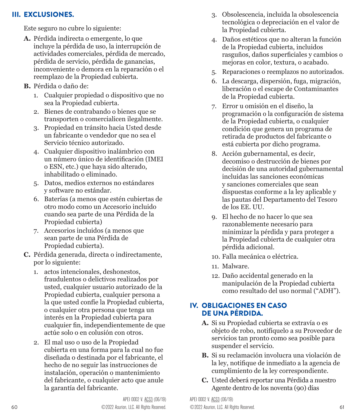#### III. EXCLUSIONES.

Este seguro no cubre lo siguiente:

- **A.** Pérdida indirecta o emergente, lo que incluye la pérdida de uso, la interrupción de actividades comerciales, pérdida de mercado, pérdida de servicio, pérdida de ganancias, inconveniente o demora en la reparación o el reemplazo de la Propiedad cubierta.
- **B.** Pérdida o daño de:
	- 1. Cualquier propiedad o dispositivo que no sea la Propiedad cubierta.
	- 2. Bienes de contrabando o bienes que se transporten o comercialicen ilegalmente.
	- 3. Propiedad en tránsito hacia Usted desde un fabricante o vendedor que no sea el Servicio técnico autorizado.
	- 4. Cualquier dispositivo inalámbrico con un número único de identificación (IMEI o ESN, etc.) que haya sido alterado, inhabilitado o eliminado.
	- 5. Datos, medios externos no estándares y software no estándar.
	- 6. Baterías (a menos que estén cubiertas de otro modo como un Accesorio incluido cuando sea parte de una Pérdida de la Propiedad cubierta)
	- 7. Accesorios incluidos (a menos que sean parte de una Pérdida de Propiedad cubierta).
- **C.** Pérdida generada, directa o indirectamente, por lo siguiente:
	- 1. actos intencionales, deshonestos, fraudulentos o delictivos realizados por usted, cualquier usuario autorizado de la Propiedad cubierta, cualquier persona a la que usted confíe la Propiedad cubierta, o cualquier otra persona que tenga un interés en la Propiedad cubierta para cualquier fin, independientemente de que actúe solo o en colusión con otros.
	- 2. El mal uso o uso de la Propiedad cubierta en una forma para la cual no fue diseñada o destinada por el fabricante, el hecho de no seguir las instrucciones de instalación, operación o mantenimiento del fabricante, o cualquier acto que anule la garantía del fabricante.
- 3. Obsolescencia, incluida la obsolescencia tecnológica o depreciación en el valor de la Propiedad cubierta.
- 4. Daños estéticos que no alteran la función de la Propiedad cubierta, incluidos rasguños, daños superficiales y cambios o mejoras en color, textura, o acabado.
- 5. Reparaciones o reemplazos no autorizados.
- 6. La descarga, dispersión, fuga, migración, liberación o el escape de Contaminantes de la Propiedad cubierta.
- 7. Error u omisión en el diseño, la programación o la configuración de sistema de la Propiedad cubierta, o cualquier condición que genera un programa de retirada de productos del fabricante o está cubierta por dicho programa.
- 8. Acción gubernamental, es decir, decomiso o destrucción de bienes por decisión de una autoridad gubernamental incluidas las sanciones económicas y sanciones comerciales que sean dispuestas conforme a la ley aplicable y las pautas del Departamento del Tesoro de los EE. UU.
- 9. El hecho de no hacer lo que sea razonablemente necesario para minimizar la pérdida y para proteger a la Propiedad cubierta de cualquier otra pérdida adicional.
- 10. Falla mecánica o eléctrica.
- 11. Malware.
- 12. Daño accidental generado en la manipulación de la Propiedad cubierta como resultado del uso normal ("ADH").

#### IV. OBLIGACIONES EN CASO DE UNA PÉRDIDA.

- **A.** Si su Propiedad cubierta se extravía o es objeto de robo, notifíquelo a su Proveedor de servicios tan pronto como sea posible para suspender el servicio.
- **B.** Si su reclamación involucra una violación de la ley, notifique de inmediato a la agencia de cumplimiento de la ley correspondiente.
- **C.** Usted deberá reportar una Pérdida a nuestro Agente dentro de los noventa (90) días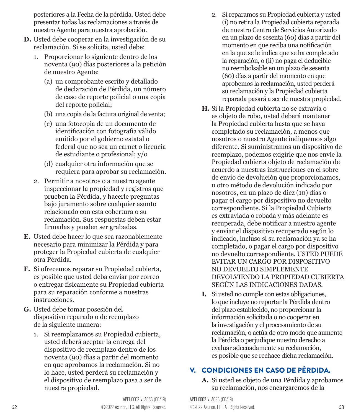posteriores a la Fecha de la pérdida. Usted debe presentar todas las reclamaciones a través de nuestro Agente para nuestra aprobación.

- **D.** Usted debe cooperar en la investigación de su reclamación. Si se solicita, usted debe:
	- 1. Proporcionar lo siguiente dentro de los noventa (90) días posteriores a la petición de nuestro Agente:
		- (a) un comprobante escrito y detallado de declaración de Pérdida, un número de caso de reporte policial o una copia del reporte policial;
		- (b) una copia de la factura original de venta;
		- (c) una fotocopia de un documento de identificación con fotografía válido emitido por el gobierno estatal o federal que no sea un carnet o licencia de estudiante o profesional; y/o
		- (d) cualquier otra información que se requiera para aprobar su reclamación.
	- 2. Permitir a nosotros o a nuestro agente inspeccionar la propiedad y registros que prueben la Pérdida, y hacerle preguntas bajo juramento sobre cualquier asunto relacionado con esta cobertura o su reclamación. Sus respuestas deben estar firmadas y pueden ser grabadas.
- **E.** Usted debe hacer lo que sea razonablemente necesario para minimizar la Pérdida y para proteger la Propiedad cubierta de cualquier otra Pérdida.
- **F.** Si ofrecemos reparar su Propiedad cubierta, es posible que usted deba enviar por correo o entregar físicamente su Propiedad cubierta para su reparación conforme a nuestras instrucciones.
- **G.** Usted debe tomar posesión del dispositivo reparado o de reemplazo de la siguiente manera:
	- 1. Si reemplazamos su Propiedad cubierta, usted deberá aceptar la entrega del dispositivo de reemplazo dentro de los noventa (90) días a partir del momento en que aprobamos la reclamación. Si no lo hace, usted perderá su reclamación y el dispositivo de reemplazo pasa a ser de nuestra propiedad.
- 2. Si reparamos su Propiedad cubierta y usted (i) no retira la Propiedad cubierta reparada de nuestro Centro de Servicios Autorizado en un plazo de sesenta (60) días a partir del momento en que reciba una notificación en la que se le indica que se ha completado la reparación, o (ii) no paga el deducible no reembolsable en un plazo de sesenta (60) días a partir del momento en que aprobemos la reclamación, usted perderá su reclamación y la Propiedad cubierta reparada pasará a ser de nuestra propiedad.
- **H.** Si la Propiedad cubierta no se extravía o es objeto de robo, usted deberá mantener la Propiedad cubierta hasta que se haya completado su reclamación, a menos que nosotros o nuestro Agente indiquemos algo diferente. Si suministramos un dispositivo de reemplazo, podemos exigirle que nos envíe la Propiedad cubierta objeto de reclamación de acuerdo a nuestras instrucciones en el sobre de envío de devolución que proporcionamos, u otro método de devolución indicado por nosotros, en un plazo de diez (10) días o pagar el cargo por dispositivo no devuelto correspondiente. Si la Propiedad Cubierta es extraviada o robada y más adelante es recuperada, debe notificar a nuestro agente y enviar el dispositivo recuperado según lo indicado, incluso si su reclamación ya se ha completado, o pagar el cargo por dispositivo no devuelto correspondiente. USTED PUEDE EVITAR UN CARGO POR DISPOSITIVO NO DEVUELTO SIMPLEMENTE DEVOLVIENDO LA PROPIEDAD CUBIERTA SEGÚN LAS INDICACIONES DADAS.
- **I.** Si usted no cumple con estas obligaciones, lo que incluye no reportar la Pérdida dentro del plazo establecido, no proporcionar la información solicitada o no cooperar en la investigación y el procesamiento de su reclamación, o actúa de otro modo que aumente la Pérdida o perjudique nuestro derecho a evaluar adecuadamente su reclamación, es posible que se rechace dicha reclamación.

#### V. CONDICIONES EN CASO DE PÉRDIDA.

**A.** Si usted es objeto de una Pérdida y aprobamos su reclamación, nos encargaremos de la

62 ©2022 Asurion, LLC. All Rights Reserved. ©2022 Asurion, LLC. All Rights Reserved. 63 APEI 0002 V. ACS3 (06/19) APEI 0002 V. ACS3 (06/19)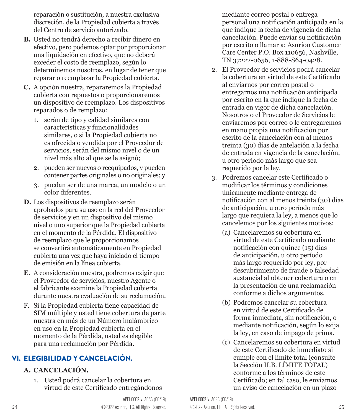reparación o sustitución, a nuestra exclusiva discreción, de la Propiedad cubierta a través del Centro de servicio autorizado.

- **B.** Usted no tendrá derecho a recibir dinero en efectivo, pero podemos optar por proporcionar una liquidación en efectivo, que no deberá exceder el costo de reemplazo, según lo determinemos nosotros, en lugar de tener que reparar o reemplazar la Propiedad cubierta.
- **C.** A opción nuestra, repararemos la Propiedad cubierta con repuestos o proporcionaremos un dispositivo de reemplazo. Los dispositivos reparados o de remplazo:
	- 1. serán de tipo y calidad similares con características y funcionalidades similares, o si la Propiedad cubierta no es ofrecida o vendida por el Proveedor de servicios, serán del mismo nivel o de un nivel más alto al que se le asignó;
	- 2. pueden ser nuevos o reequipados, y pueden contener partes originales o no originales; y
	- 3. puedan ser de una marca, un modelo o un color diferentes.
- **D.** Los dispositivos de reemplazo serán aprobados para su uso en la red del Proveedor de servicios y en un dispositivo del mismo nivel o uno superior que la Propiedad cubierta en el momento de la Pérdida. El dispositivo de reemplazo que le proporcionamos se convertirá automáticamente en Propiedad cubierta una vez que haya iniciado el tiempo de emisión en la línea cubierta.
- **E.** A consideración nuestra, podremos exigir que el Proveedor de servicios, nuestro Agente o el fabricante examine la Propiedad cubierta durante nuestra evaluación de su reclamación.
- F. Si la Propiedad cubierta tiene capacidad de SIM múltiple y usted tiene cobertura de parte nuestra en más de un Número inalámbrico en uso en la Propiedad cubierta en el momento de la Pérdida, usted es elegible para una reclamación por Pérdida.

### VI. ELEGIBILIDAD Y CANCELACIÓN.

#### **A. CANCELACIÓN.**

1. Usted podrá cancelar la cobertura en virtud de este Certificado entregándonos mediante correo postal o entrega personal una notificación anticipada en la que indique la fecha de vigencia de dicha cancelación. Puede enviar su notificación por escrito o llamar a: Asurion Customer Care Center P.O. Box 110656, Nashville, TN 37222-0656, 1-888-864-0428.

- 2. El Proveedor de servicios podrá cancelar la cobertura en virtud de este Certificado al enviarnos por correo postal o entregarnos una notificación anticipada por escrito en la que indique la fecha de entrada en vigor de dicha cancelación. Nosotros o el Proveedor de Servicios le enviaremos por correo o le entregaremos en mano propia una notificación por escrito de la cancelación con al menos treinta (30) días de antelación a la fecha de entrada en vigencia de la cancelación, u otro periodo más largo que sea requerido por la ley.
- 3. Podremos cancelar este Certificado o modificar los términos y condiciones únicamente mediante entrega de notificación con al menos treinta (30) días de anticipación, u otro período más largo que requiera la ley, a menos que lo cancelemos por los siguientes motivos:
	- (a) Cancelaremos su cobertura en virtud de este Certificado mediante notificación con quince (15) días de anticipación, u otro período más largo requerido por ley, por descubrimiento de fraude o falsedad sustancial al obtener cobertura o en la presentación de una reclamación conforme a dichos argumentos.
	- (b) Podremos cancelar su cobertura en virtud de este Certificado de forma inmediata, sin notificación, o mediante notificación, según lo exija la ley, en caso de impago de prima.
	- (c) Cancelaremos su cobertura en virtud de este Certificado de inmediato si cumple con el límite total (consulte la Sección II.B. LÍMITE TOTAL) conforme a los términos de este Certificado; en tal caso, le enviamos un aviso de cancelación en un plazo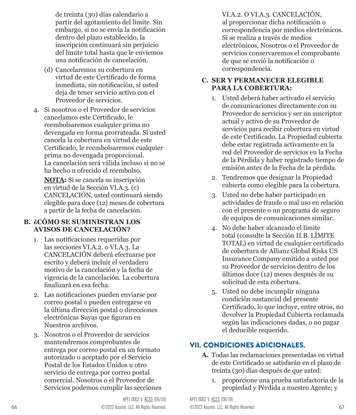de treinta (30) días calendario a partir del agotamiento del límite. Sin embargo, si no se envía la notificación dentro del plazo establecido, la inscripción continuará sin perjuicio del límite total hasta que le enviemos una notificación de cancelación.

- (d) Cancelaremos su cobertura en virtud de este Certificado de forma inmediata, sin notificación, si usted deja de tener servicio activo con el Proveedor de servicios.
- 4. Si nosotros o el Proveedor de servicios cancelamos este Certificado, le reembolsaremos cualquier prima no devengada en forma prorrateada. Si usted cancela la cobertura en virtud de este Certificado, le reembolsaremos cualquier prima no devengada proporcional. La cancelación será válida incluso si no se ha hecho u ofrecido el reembolso.

**NOTA:** Si se cancela su inscripción en virtud de la Sección VI.A.3. (c) CANCELACIÓN, usted continuará siendo elegible para doce (12) meses de cobertura a partir de la fecha de cancelación.

#### **B. ¿CÓMO SE SUMINISTRAN LOS AVISOS DE CANCELACIÓN?**

- 1. Las notificaciones requeridas por las secciones VI.A.2. o VI.A.3. La CANCELACIÓN deberá efectuarse por escrito y deberá incluir el verdadero motivo de la cancelación y la fecha de vigencia de la cancelación. La cobertura finalizará en esa fecha.
- 2. Las notificaciones pueden enviarse por correo postal o pueden entregarse en la última dirección postal o direcciones electrónicas Suyas que figuran en Nuestros archivos.
- 3. Nosotros o el Proveedor de servicios mantendremos comprobantes de entrega por correo postal en un formato autorizado o aceptado por el Servicio Postal de los Estados Unidos u otro servicio de entrega por correo postal comercial. Nosotros o el Proveedor de Servicios podemos cumplir las secciones

VI.A.2. O VI.A.3. CANCELACIÓN, al proporcionar dicha notificación o correspondencia por medios electrónicos. Si se realiza a través de medios electrónicos, Nosotros o el Proveedor de servicios conservaremos el comprobante de que se envió la notificación o correspondencia.

#### **C. SER Y PERMANECER ELEGIBLE PARA LA COBERTURA:**

- 1. Usted deberá haber activado el servicio de comunicaciones directamente con su Proveedor de servicios y ser un suscriptor actual y activo de su Proveedor de servicios para recibir cobertura en virtud de este Certificado. La Propiedad cubierta debe estar registrada activamente en la red del Proveedor de servicios en la Fecha de la Pérdida y haber registrado tiempo de emisión antes de la Fecha de la pérdida.
- 2. Tendremos que designar la Propiedad cubierta como elegible para la cobertura.
- 3. Usted no debe haber participado en actividades de fraude o mal uso en relación con el presente o un programa de seguro de equipos de comunicaciones similar.
- 4. No debe haber alcanzado el límite total (consulte la Sección II.B. LÍMITE TOTAL) en virtud de cualquier certificado de cobertura de Allianz Global Risks US Insurance Company emitido a usted por su Proveedor de servicios dentro de los últimos doce (12) meses después de su solicitud de esta cobertura.
- 5. Usted no debe incumplir ninguna condición sustancial del presente Certificado, lo que incluye, entre otros, no devolver la Propiedad Cubierta reclamada según las indicaciones dadas, o no pagar el deducible requerido.

#### VII. CONDICIONES ADICIONALES.

- **A.** Todas las reclamaciones presentadas en virtud de este Certificado se satisfarán en el plazo de treinta (30) días después de que usted:
	- 1. proporcione una prueba satisfactoria de la propiedad y Pérdida a nuestro Agente; y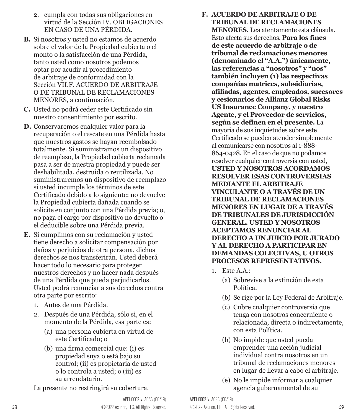- 2. cumpla con todas sus obligaciones en virtud de la Sección IV. OBLIGACIONES EN CASO DE UNA PÉRDIDA.
- **B.** Si nosotros y usted no estamos de acuerdo sobre el valor de la Propiedad cubierta o el monto o la satisfacción de una Pérdida, tanto usted como nosotros podemos optar por acudir al procedimiento de arbitraje de conformidad con la Sección VII.F. ACUERDO DE ARBITRAJE O DE TRIBUNAL DE RECLAMACIONES MENORES, a continuación.
- **C.** Usted no podrá ceder este Certificado sin nuestro consentimiento por escrito.
- **D.** Conservaremos cualquier valor para la recuperación o el rescate en una Pérdida hasta que nuestros gastos se hayan reembolsado totalmente. Si suministramos un dispositivo de reemplazo, la Propiedad cubierta reclamada pasa a ser de nuestra propiedad y puede ser deshabilitada, destruida o reutilizada. No suministraremos un dispositivo de reemplazo si usted incumple los términos de este Certificado debido a lo siguiente: no devuelve la Propiedad cubierta dañada cuando se solicite en conjunto con una Pérdida previa; o, no paga el cargo por dispositivo no devuelto o el deducible sobre una Pérdida previa.
- **E.** Si cumplimos con su reclamación y usted tiene derecho a solicitar compensación por daños y perjuicios de otra persona, dichos derechos se nos transferirán. Usted deberá hacer todo lo necesario para proteger nuestros derechos y no hacer nada después de una Pérdida que pueda perjudicarlos. Usted podrá renunciar a sus derechos contra otra parte por escrito:
	- 1. Antes de una Pérdida.
	- 2. Después de una Pérdida, sólo si, en el momento de la Pérdida, esa parte es:
		- (a) una persona cubierta en virtud de este Certificado; o
		- (b) una firma comercial que: (i) es propiedad suya o está bajo su control; (ii) es propietaria de usted o lo controla a usted; o (iii) es su arrendatario.

La presente no restringirá su cobertura.

- **F. ACUERDO DE ARBITRAJE O DE TRIBUNAL DE RECLAMACIONES MENORES.** Lea atentamente esta cláusula. Esto afecta sus derechos. **Para los fines de este acuerdo de arbitraje o de tribunal de reclamaciones menores (denominado el "A.A.") únicamente, las referencias a "nosotros" y "nos" también incluyen (1) las respectivas compañías matrices, subsidiarias, afiliadas, agentes, empleados, sucesores y cesionarios de Allianz Global Risks US Insurance Company, y nuestro Agente, y el Proveedor de servicios, según se definen en el presente.** La mayoría de sus inquietudes sobre este Certificado se pueden atender simplemente al comunicarse con nosotros al 1-888- 864-0428. En el caso de que no podamos resolver cualquier controversia con usted, **USTED Y NOSOTROS ACORDAMOS RESOLVER ESAS CONTROVERSIAS MEDIANTE EL ARBITRAJE VINCULANTE O A TRAVÉS DE UN TRIBUNAL DE RECLAMACIONES MENORES EN LUGAR DE A TRAVÉS DE TRIBUNALES DE JURISDICCIÓN GENERAL. USTED Y NOSOTROS ACEPTAMOS RENUNCIAR AL DERECHO A UN JUICIO POR JURADO Y AL DERECHO A PARTICIPAR EN** 
	- 1. Este A.A.:
		- (a) Sobrevive a la extinción de esta Política.

**DEMANDAS COLECTIVAS, U OTROS PROCESOS REPRESENTATIVOS.**

- (b) Se rige por la Ley Federal de Arbitraje.
- (c) Cubre cualquier controversia que tenga con nosotros concerniente o relacionada, directa o indirectamente, con esta Política.
- (b) No impide que usted pueda emprender una acción judicial individual contra nosotros en un tribunal de reclamaciones menores en lugar de llevar a cabo el arbitraje.
- (e) No le impide informar a cualquier agencia gubernamental de su

68 ©2022 Asurion, LLC. All Rights Reserved. ©2022 Asurion, LLC. All Rights Reserved. 69 APEI 0002 V. ACS3 (06/19) APEI 0002 V. ACS3 (06/19)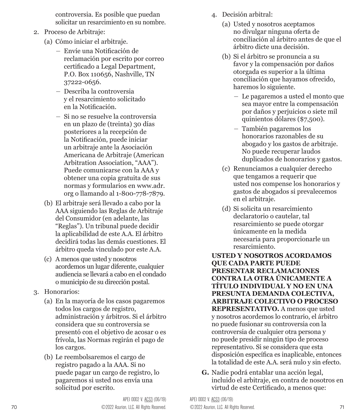controversia. Es posible que puedan solicitar un resarcimiento en su nombre.

- 2. Proceso de Arbitraje:
	- (a) Cómo iniciar el arbitraje.
		- Envíe una Notificación de reclamación por escrito por correo certificado a Legal Department, P.O. Box 110656, Nashville, TN 37222-0656.
		- Describa la controversia y el resarcimiento solicitado en la Notificación.
		- Si no se resuelve la controversia en un plazo de (treinta) 30 días posteriores a la recepción de la Notificación, puede iniciar un arbitraje ante la Asociación Americana de Arbitraje (American Arbitration Association, "AAA"). Puede comunicarse con la AAA y obtener una copia gratuita de sus normas y formularios en www.adr. org o llamando al 1-800-778-7879.
	- (b) El arbitraje será llevado a cabo por la AAA siguiendo las Reglas de Arbitraje del Consumidor (en adelante, las "Reglas"). Un tribunal puede decidir la aplicabilidad de este A.A. El árbitro decidirá todas las demás cuestiones. El árbitro queda vinculado por este A.A.
	- (c) A menos que usted y nosotros acordemos un lugar diferente, cualquier audiencia se llevará a cabo en el condado o municipio de su dirección postal.
- 3. Honorarios:
	- (a) En la mayoría de los casos pagaremos todos los cargos de registro, administración y árbitros. Si el árbitro considera que su controversia se presentó con el objetivo de acosar o es frívola, las Normas regirán el pago de los cargos.
	- (b) Le reembolsaremos el cargo de registro pagado a la AAA. Si no puede pagar un cargo de registro, lo pagaremos si usted nos envía una solicitud por escrito.
- 4. Decisión arbitral:
	- (a) Usted y nosotros aceptamos no divulgar ninguna oferta de conciliación al árbitro antes de que el árbitro dicte una decisión.
	- (b) Si el árbitro se pronuncia a su favor y la compensación por daños otorgada es superior a la última conciliación que hayamos ofrecido, haremos lo siguiente.
		- Le pagaremos a usted el monto que sea mayor entre la compensación por daños y perjuicios o siete mil quinientos dólares (\$7,500).
		- También pagaremos los honorarios razonables de su abogado y los gastos de arbitraje. No puede recuperar laudos duplicados de honorarios y gastos.
	- (c) Renunciamos a cualquier derecho que tengamos a requerir que usted nos compense los honorarios y gastos de abogados si prevalecemos en el arbitraje.
	- (d) Si solicita un resarcimiento declaratorio o cautelar, tal resarcimiento se puede otorgar únicamente en la medida necesaria para proporcionarle un resarcimiento.

**USTED Y NOSOTROS ACORDAMOS QUE CADA PARTE PUEDE PRESENTAR RECLAMACIONES CONTRA LA OTRA ÚNICAMENTE A TÍTULO INDIVIDUAL Y NO EN UNA PRESUNTA DEMANDA COLECTIVA, ARBITRAJE COLECTIVO O PROCESO REPRESENTATIVO.** A menos que usted y nosotros acordemos lo contrario, el árbitro no puede fusionar su controversia con la controversia de cualquier otra persona y no puede presidir ningún tipo de proceso representativo. Si se considera que esta disposición específica es inaplicable, entonces la totalidad de este A.A. será nulo y sin efecto.

**G.** Nadie podrá entablar una acción legal, incluido el arbitraje, en contra de nosotros en virtud de este Certificado, a menos que: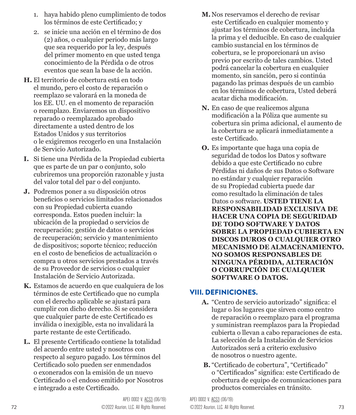- 1. haya habido pleno cumplimiento de todos los términos de este Certificado; y
- 2. se inicie una acción en el término de dos (2) años, o cualquier periodo más largo que sea requerido por la ley, después del primer momento en que usted tenga conocimiento de la Pérdida o de otros eventos que sean la base de la acción.
- **H.** El territorio de cobertura está en todo el mundo, pero el costo de reparación o reemplazo se valorará en la moneda de los EE. UU. en el momento de reparación o reemplazo. Enviaremos un dispositivo reparado o reemplazado aprobado directamente a usted dentro de los Estados Unidos y sus territorios o le exigiremos recogerlo en una Instalación de Servicio Autorizado.
- **I.** Si tiene una Pérdida de la Propiedad cubierta que es parte de un par o conjunto, solo cubriremos una proporción razonable y justa del valor total del par o del conjunto.
- **J.** Podremos poner a su disposición otros beneficios o servicios limitados relacionados con su Propiedad cubierta cuando corresponda. Estos pueden incluir: la ubicación de la propiedad o servicios de recuperación; gestión de datos o servicios de recuperación; servicio y mantenimiento de dispositivos; soporte técnico; reducción en el costo de beneficios de actualización o compra u otros servicios prestados a través de su Proveedor de servicios o cualquier Instalación de Servicio Autorizada.
- **K.** Estamos de acuerdo en que cualquiera de los términos de este Certificado que no cumpla con el derecho aplicable se ajustará para cumplir con dicho derecho. Si se considera que cualquier parte de este Certificado es inválida o inexigible, esta no invalidará la parte restante de este Certificado.
- **L.** El presente Certificado contiene la totalidad del acuerdo entre usted y nosotros con respecto al seguro pagado. Los términos del Certificado solo pueden ser enmendados o exonerados con la emisión de un nuevo Certificado o el endoso emitido por Nosotros e integrado a este Certificado.
- **M.**Nos reservamos el derecho de revisar este Certificado en cualquier momento y ajustar los términos de cobertura, incluida la prima y el deducible. En caso de cualquier cambio sustancial en los términos de cobertura, se le proporcionará un aviso previo por escrito de tales cambios. Usted podrá cancelar la cobertura en cualquier momento, sin sanción, pero si continúa pagando las primas después de un cambio en los términos de cobertura, Usted deberá acatar dicha modificación.
- **N.** En caso de que realicemos alguna modificación a la Póliza que aumente su cobertura sin prima adicional, el aumento de la cobertura se aplicará inmediatamente a este Certificado.
- **O.** Es importante que haga una copia de seguridad de todos los Datos y software debido a que este Certificado no cubre Pérdidas ni daños de sus Datos o Software no estándar y cualquier reparación de su Propiedad cubierta puede dar como resultado la eliminación de tales Datos o software. **USTED TIENE LA RESPONSABILIDAD EXCLUSIVA DE HACER UNA COPIA DE SEGURIDAD DE TODO SOFTWARE Y DATOS SOBRE LA PROPIEDAD CUBIERTA EN DISCOS DUROS O CUALQUIER OTRO MECANISMO DE ALMACENAMIENTO. NO SOMOS RESPONSABLES DE NINGUNA PÉRDIDA, ALTERACIÓN O CORRUPCIÓN DE CUALQUIER SOFTWARE O DATOS.**

#### VIII. DEFINICIONES.

- **A.** "Centro de servicio autorizado" significa: el lugar o los lugares que sirven como centro de reparación o reemplazo para el programa y suministran reemplazos para la Propiedad cubierta o llevan a cabo reparaciones de esta. La selección de la Instalación de Servicios Autorizados será a criterio exclusivo de nosotros o nuestro agente.
- **B.** "Certificado de cobertura", "Certificado" o "Certificados" significa: este Certificado de cobertura de equipo de comunicaciones para productos comerciales en tránsito.

72 ©2022 Asurion, LLC. All Rights Reserved. ©2022 Asurion, LLC. All Rights Reserved. 73 APEI 0002 V. ACS3 (06/19) APEI 0002 V. ACS3 (06/19)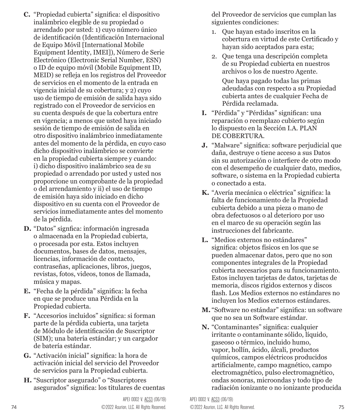- **C.** "Propiedad cubierta" significa: el dispositivo inalámbrico elegible de su propiedad o arrendado por usted: 1) cuyo número único de identificación (Identificación Internacional de Equipo Móvil [International Mobile Equipment Identity, IMEI]), Número de Serie Electrónico (Electronic Serial Number, ESN) o ID de equipo móvil (Mobile Equipment ID, MEID) se refleja en los registros del Proveedor de servicios en el momento de la entrada en vigencia inicial de su cobertura; y 2) cuyo uso de tiempo de emisión de salida haya sido registrado con el Proveedor de servicios en su cuenta después de que la cobertura entre en vigencia; a menos que usted haya iniciado sesión de tiempo de emisión de salida en otro dispositivo inalámbrico inmediatamente antes del momento de la pérdida, en cuyo caso dicho dispositivo inalámbrico se convierte en la propiedad cubierta siempre y cuando: i) dicho dispositivo inalámbrico sea de su propiedad o arrendado por usted y usted nos proporcione un comprobante de la propiedad o del arrendamiento y ii) el uso de tiempo de emisión haya sido iniciado en dicho dispositivo en su cuenta con el Proveedor de servicios inmediatamente antes del momento de la pérdida.
- **D.** "Datos" signfica: información ingresada o almacenada en la Propiedad cubierta, o procesada por esta. Estos incluyen documentos, bases de datos, mensajes, licencias, información de contacto, contraseñas, aplicaciones, libros, juegos, revistas, fotos, videos, tonos de llamada, música y mapas.
- **E.** "Fecha de la pérdida" significa: la fecha en que se produce una Pérdida en la Propiedad cubierta.
- **F.** "Accesorios incluidos" significa: si forman parte de la pérdida cubierta, una tarjeta de Módulo de identificación de Suscriptor (SIM); una batería estándar; y un cargador de batería estándar.
- **G.** "Activación inicial" significa: la hora de activación inicial del servicio del Proveedor de servicios para la Propiedad cubierta.
- **H.** "Suscriptor asegurado" o "Suscriptores asegurados" significa: los titulares de cuentas

del Proveedor de servicios que cumplan las siguientes condiciones:

- 1. Que hayan estado inscritos en la cobertura en virtud de este Certificado y hayan sido aceptados para esta;
- 2. Que tenga una descripción completa de su Propiedad cubierta en nuestros archivos o los de nuestro Agente.

Que haya pagado todas las primas adeudadas con respecto a su Propiedad cubierta antes de cualquier Fecha de Pérdida reclamada.

- **I.** "Pérdida" y "Pérdidas" significan: una reparación o reemplazo cubierto según lo dispuesto en la Sección I.A. PLAN DE COBERTURA.
- **J.** "Malware" significa: software perjudicial que daña, destruye o tiene acceso a sus Datos sin su autorización o interfiere de otro modo con el desempeño de cualquier dato, medios, software, o sistema en la Propiedad cubierta o conectado a esta.
- **K.** "Avería mecánica o eléctrica" significa: la falta de funcionamiento de la Propiedad cubierta debido a una pieza o mano de obra defectuosos o al deterioro por uso en el marco de su operación según las instrucciones del fabricante.
- **L.** "Medios externos no estándares" significa: objetos físicos en los que se pueden almacenar datos, pero que no son componentes integrales de la Propiedad cubierta necesarios para su funcionamiento. Estos incluyen tarjetas de datos, tarjetas de memoria, discos rígidos externos y discos flash. Los Medios externos no estándares no incluyen los Medios externos estándares.
- **M.** "Software no estándar" significa: un software que no sea un Software estándar.
- **N.** "Contaminantes" significa: cualquier irritante o contaminante sólido, líquido, gaseoso o térmico, incluido humo, vapor, hollín, ácido, álcali, productos químicos, campos eléctricos producidos artificialmente, campo magnético, campo electromagnético, pulso electromagnético, ondas sonoras, microondas y todo tipo de radiación ionizante o no ionizante producida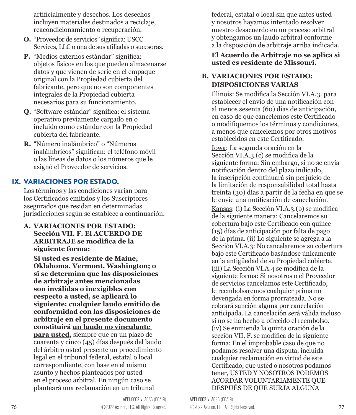artificialmente y desechos. Los desechos incluyen materiales destinados a reciclaje, reacondicionamiento o recuperación.

- **O.** "Proveedor de servicios" significa: USCC Services, LLC o una de sus afiliadas o sucesoras.
- **P.** "Medios externos estándar" significa: objetos físicos en los que pueden almacenarse datos y que vienen de serie en el empaque original con la Propiedad cubierta del fabricante, pero que no son componentes integrales de la Propiedad cubierta necesarios para su funcionamiento.
- **Q.** "Software estándar" significa: el sistema operativo previamente cargado en o incluido como estándar con la Propiedad cubierta del fabricante.
- **R.** "Número inalámbrico" o "Números inalámbricos" significan: el teléfono móvil o las líneas de datos o los números que le asignó el Proveedor de servicios.

#### IX. VARIACIONES POR ESTADO.

Los términos y las condiciones varían para los Certificados emitidos y los Suscriptores asegurados que residan en determinadas jurisdicciones según se establece a continuación.

**A. VARIACIONES POR ESTADO: Sección VII. F. El ACUERDO DE ARBITRAJE se modifica de la siguiente forma:**

**Si usted es residente de Maine, Oklahoma, Vermont, Washington; o si se determina que las disposiciones de arbitraje antes mencionadas son inválidas o inexigibles con respecto a usted, se aplicará lo siguiente: cualquier laudo emitido de conformidad con las disposiciones de arbitraje en el presente documento constituirá un laudo no vinculante para usted,** siempre que en un plazo de cuarenta y cinco (45) días después del laudo del árbitro usted presente un procedimiento legal en el tribunal federal, estatal o local correspondiente, con base en el mismo asunto y hechos planteados por usted en el proceso arbitral. En ningún caso se planteará una reclamación en un tribunal

federal, estatal o local sin que antes usted y nosotros hayamos intentado resolver nuestro desacuerdo en un proceso arbitral y obtengamos un laudo arbitral conforme a la disposición de arbitraje arriba indicada.

#### **El Acuerdo de Arbitraje no se aplica si usted es residente de Missouri.**

#### **B. VARIACIONES POR ESTADO: DISPOSICIONES VARIAS**

Illinois: Se modifica la Sección VI.A.3. para establecer el envío de una notificación con al menos sesenta (60) días de anticipación, en caso de que cancelemos este Certificado o modifiquemos los términos y condiciones, a menos que cancelemos por otros motivos establecidos en este Certificado.

Iowa: La segunda oración en la Sección VI.A.3.(c) se modifica de la siguiente forma: Sin embargo, si no se envía notificación dentro del plazo indicado, la inscripción continuará sin perjuicio de la limitación de responsabilidad total hasta treinta (30) días a partir de la fecha en que se le envíe una notificación de cancelación.

Kansas: (i) La Sección VI.A.3.(b) se modifica de la siguiente manera: Cancelaremos su cobertura bajo este Certificado con quince (15) días de anticipación por falta de pago de la prima. (ii) Lo siguiente se agrega a la Sección VI.A.3: No cancelaremos su cobertura bajo este Certificado basándose únicamente en la antigüedad de su Propiedad cubierta. (iii) La Sección VI.A.4 se modifica de la siguiente forma: Si nosotros o el Proveedor de servicios cancelamos este Certificado, le reembolsaremos cualquier prima no devengada en forma prorrateada. No se cobrará sanción alguna por cancelación anticipada. La cancelación será válida incluso si no se ha hecho u ofrecido el reembolso. (iv) Se enmienda la quinta oración de la sección VII. F. se modifica de la siguiente forma: En el improbable caso de que no podamos resolver una disputa, incluida cualquier reclamación en virtud de este Certificado, que usted o nosotros podamos tener, USTED Y NOSOTROS PODEMOS ACORDAR VOLUNTARIAMENTE QUE DESPUÉS DE QUE SURJA ALGUNA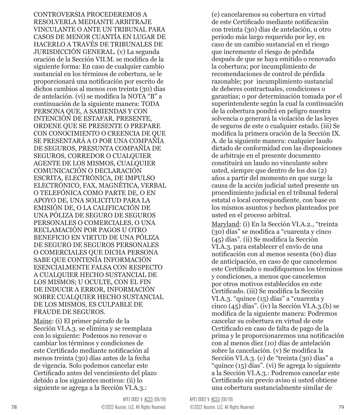CONTROVERSIA PROCEDEREMOS A RESOLVERLA MEDIANTE ARBITRAJE VINCULANTE O ANTE UN TRIBUNAL PARA CASOS DE MENOR CUANTÍA EN LUGAR DE HACERLO A TRAVÉS DE TRIBUNALES DE JURISDICCIÓN GENERAL. (v) La segunda oración de la Sección VII.M. se modifica de la siguiente forma: En caso de cualquier cambio sustancial en los términos de cobertura, se le proporcionará una notificación por escrito de dichos cambios al menos con treinta (30) días de antelación. (vi) se modifica la NOTA "B" a continuación de la siguiente manera: TODA PERSONA QUE, A SABIENDAS Y CON INTENCIÓN DE ESTAFAR, PRESENTE, ORDENE QUE SE PRESENTE O PREPARE CON CONOCIMIENTO O CREENCIA DE QUE SE PRESENTARÁ A O POR UNA COMPAÑÍA DE SEGUROS, PRESUNTA COMPAÑÍA DE SEGUROS, CORREDOR O CUALQUIER AGENTE DE LOS MISMOS, CUALQUIER COMUNICACIÓN O DECLARACIÓN ESCRITA, ELECTRÓNICA, DE IMPULSO ELECTRÓNICO, FAX, MAGNÉTICA, VERBAL O TELEFÓNICA COMO PARTE DE, O EN APOYO DE, UNA SOLICITUD PARA LA EMISIÓN DE, O LA CALIFICACIÓN DE UNA PÓLIZA DE SEGURO DE SEGUROS PERSONALES O COMERCIALES, O UNA RECLAMACIÓN POR PAGOS U OTRO BENEFICIO EN VIRTUD DE UNA PÓLIZA DE SEGURO DE SEGUROS PERSONALES O COMERCIALES QUE DICHA PERSONA SABE QUE CONTENÍA INFORMACIÓN ESENCIALMENTE FALSA CON RESPECTO A CUALQUIER HECHO SUSTANCIAL DE LOS MISMOS; U OCULTE, CON EL FIN DE INDUCIR A ERROR, INFORMACIÓN SOBRE CUALQUIER HECHO SUSTANCIAL DE LOS MISMOS, ES CULPABLE DE FRAUDE DE SEGUROS.

Maine: (i) El primer párrafo de la Sección VI.A.3. se elimina y se reemplaza con lo siguiente: Podemos no renovar o cambiar los términos y condiciones de este Certificado mediante notificación al menos treinta (30) días antes de la fecha de vigencia. Solo podemos cancelar este Certificado antes del vencimiento del plazo debido a los siguientes motivos: (ii) lo siguiente se agrega a la Sección VI.A.3.:

de este Certificado mediante notificación con treinta (30) días de antelación, u otro periodo más largo requerido por ley, en caso de un cambio sustancial en el riesgo que incremente el riesgo de pérdida después de que se haya emitido o renovado la cobertura; por incumplimiento de recomendaciones de control de pérdida razonable; por incumplimiento sustancial de deberes contractuales, condiciones o garantías; o por determinación tomada por el superintendente según la cual la continuación de la cobertura pondrá en peligro nuestra solvencia o generará la violación de las leyes de seguros de este o cualquier estado. (iii) Se modifica la primera oración de la Sección IX. A. de la siguiente manera: cualquier laudo dictado de conformidad con las disposiciones de arbitraje en el presente documento constituirá un laudo no vinculante sobre usted, siempre que dentro de los dos (2) años a partir del momento en que surge la causa de la acción judicial usted presente un procedimiento judicial en el tribunal federal estatal o local correspondiente, con base en los mismos asuntos y hechos planteados por usted en el proceso arbitral. Maryland: (i) En la Sección VI.A.2., "treinta (30) días" se modifica a "cuarenta y cinco (45) días". (ii) Se modifica la Sección VI.A.3. para establecer el envío de una

(e) cancelaremos su cobertura en virtud

notificación con al menos sesenta (60) días de anticipación, en caso de que cancelemos este Certificado o modifiquemos los términos y condiciones, a menos que cancelemos por otros motivos establecidos en este Certificado. (iii) Se modifica la Sección VI.A.3. "quince (15) días" a "cuarenta y cinco (45) días". (iv) la Sección VI.A.3.(b) se modifica de la siguiente manera: Podremos cancelar su cobertura en virtud de este Certificado en caso de falta de pago de la prima y le proporcionaremos una notificación con al menos diez (10) días de antelación sobre la cancelación. (v) Se modifica la Sección VI.A.3. (c) de "treinta (30) días" a "quince (15) días". (vi) Se agrega lo siguiente a la Sección VI.A.3.: Podremos cancelar este Certificado sin previo aviso si usted obtiene una cobertura sustancialmente similar de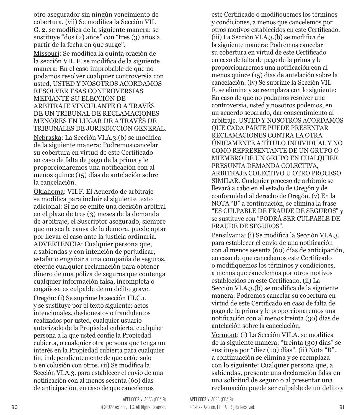otro asegurador sin ningún vencimiento de cobertura. (vii) Se modifica la Sección VII. G. 2. se modifica de la siguiente manera: se sustituye "dos (2) años" con "tres (3) años a partir de la fecha en que surge".

Missouri: Se modifica la quinta oración de la sección VII. F. se modifica de la siguiente manera: En el caso improbable de que no podamos resolver cualquier controversia con usted, USTED Y NOSOTROS ACORDAMOS RESOLVER ESAS CONTROVERSIAS MEDIANTE SU ELECCIÓN DE ARBITRAJE VINCULANTE O A TRAVÉS DE UN TRIBUNAL DE RECLAMACIONES MENORES EN LUGAR DE A TRAVÉS DE TRIBUNALES DE JURISDICCIÓN GENERAL.

Nebraska: La Sección VI.A.3.(b) se modifica de la siguiente manera: Podremos cancelar su cobertura en virtud de este Certificado en caso de falta de pago de la prima y le proporcionaremos una notificación con al menos quince (15) días de antelación sobre la cancelación.

Oklahoma: VII.F. El Acuerdo de arbitraje se modifica para incluir el siguiente texto adicional: Si no se emite una decisión arbitral en el plazo de tres (3) meses de la demanda de arbitraje, el Suscriptor asegurado, siempre que no sea la causa de la demora, puede optar por llevar el caso ante la justicia ordinaria. ADVERTENCIA: Cualquier persona que, a sabiendas y con intención de perjudicar, estafar o engañar a una compañía de seguros, efectúe cualquier reclamación para obtener dinero de una póliza de seguros que contenga cualquier información falsa, incompleta o engañosa es culpable de un delito grave.

Oregón: (i) Se suprime la sección III.C.1. y se sustituye por el texto siguiente: actos intencionales, deshonestos o fraudulentos realizados por usted, cualquier usuario autorizado de la Propiedad cubierta, cualquier persona a la que usted confíe la Propiedad cubierta, o cualquier otra persona que tenga un interés en la Propiedad cubierta para cualquier fin, independientemente de que actúe solo o en colusión con otros. (ii) Se modifica la Sección VI.A.3. para establecer el envío de una notificación con al menos sesenta (60) días de anticipación, en caso de que cancelemos

este Certificado o modifiquemos los términos y condiciones, a menos que cancelemos por otros motivos establecidos en este Certificado. (iii) La Sección VI.A.3.(b) se modifica de la siguiente manera: Podremos cancelar su cobertura en virtud de este Certificado en caso de falta de pago de la prima y le proporcionaremos una notificación con al menos quince (15) días de antelación sobre la cancelación. (iv) Se suprime la Sección VII. F. se elimina y se reemplaza con lo siguiente: En caso de que no podamos resolver una controversia, usted y nosotros podemos, en un acuerdo separado, dar consentimiento al arbitraje. USTED Y NOSOTROS ACORDAMOS QUE CADA PARTE PUEDE PRESENTAR RECLAMACIONES CONTRA LA OTRA ÚNICAMENTE A TÍTULO INDIVIDUAL Y NO COMO REPRESENTANTE DE UN GRUPO O MIEMBRO DE UN GRUPO EN CUALQUIER PRESUNTA DEMANDA COLECTIVA, ARBITRAJE COLECTIVO U OTRO PROCESO SIMILAR. Cualquier proceso de arbitraje se llevará a cabo en el estado de Oregón y de conformidad al derecho de Oregón. (v) En la NOTA "B" a continuación, se elimina la frase "ES CULPABLE DE FRAUDE DE SEGUROS" y se sustituye con "PODRÁ SER CULPABLE DE FRAUDE DE SEGUROS".

Pensilvania: (i) Se modifica la Sección VI.A.3. para establecer el envío de una notificación con al menos sesenta (60) días de anticipación, en caso de que cancelemos este Certificado o modifiquemos los términos y condiciones, a menos que cancelemos por otros motivos establecidos en este Certificado. (ii) La Sección VI.A.3.(b) se modifica de la siguiente manera: Podremos cancelar su cobertura en virtud de este Certificado en caso de falta de pago de la prima y le proporcionaremos una notificación con al menos treinta (30) días de antelación sobre la cancelación.

Vermont: (i) La Sección VII.A. se modifica de la siguiente manera: "treinta (30) días" se sustituye por "diez (10) días". (ii) Nota "B". a continuación se elimina y se reemplaza con lo siguiente: Cualquier persona que, a sabiendas, presente una declaración falsa en una solicitud de seguro o al presentar una reclamación puede ser culpable de un delito y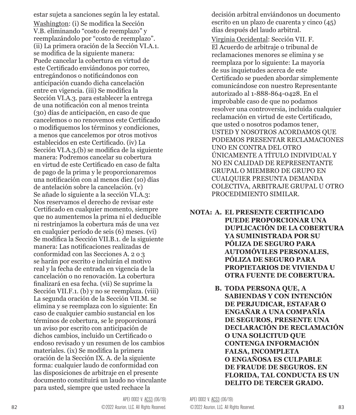estar sujeta a sanciones según la ley estatal. Washington: (i) Se modifica la Sección V.B. eliminando "costo de reemplazo" y reemplazándolo por "costo de reemplazo". (ii) La primera oración de la Sección VI.A.1. se modifica de la siguiente manera: Puede cancelar la cobertura en virtud de este Certificado enviándonos por correo, entregándonos o notificándonos con anticipación cuando dicha cancelación entre en vigencia. (iii) Se modifica la Sección VI.A.3. para establecer la entrega de una notificación con al menos treinta (30) días de anticipación, en caso de que cancelemos o no renovemos este Certificado o modifiquemos los términos y condiciones, a menos que cancelemos por otros motivos establecidos en este Certificado. (iv) La Sección VI.A.3.(b) se modifica de la siguiente manera: Podremos cancelar su cobertura en virtud de este Certificado en caso de falta de pago de la prima y le proporcionaremos una notificación con al menos diez (10) días de antelación sobre la cancelación. (v) Se añade lo siguiente a la sección VI.A.3: Nos reservamos el derecho de revisar este Certificado en cualquier momento, siempre que no aumentemos la prima ni el deducible ni restrinjamos la cobertura más de una vez en cualquier período de seis (6) meses. (vi) Se modifica la Sección VII.B.1. de la siguiente manera: Las notificaciones realizadas de conformidad con las Secciones A. 2 o 3 se harán por escrito e incluirán el motivo real y la fecha de entrada en vigencia de la cancelación o no renovación. La cobertura finalizará en esa fecha. (vii) Se suprime la Sección VII.F.1. (b) y no se reemplaza. (viii) La segunda oración de la Sección VII.M. se elimina y se reemplaza con lo siguiente: En caso de cualquier cambio sustancial en los términos de cobertura, se le proporcionará un aviso por escrito con anticipación de dichos cambios, incluido un Certificado o endoso revisado y un resumen de los cambios materiales. (ix) Se modifica la primera oración de la Sección IX. A. de la siguiente forma: cualquier laudo de conformidad con las disposiciones de arbitraje en el presente documento constituirá un laudo no vinculante para usted, siempre que usted rechace la

decisión arbitral enviándonos un documento escrito en un plazo de cuarenta y cinco (45) días después del laudo arbitral.

Virginia Occidental: Sección VII. F. El Acuerdo de arbitraje o tribunal de reclamaciones menores se elimina y se reemplaza por lo siguiente: La mayoría de sus inquietudes acerca de este Certificado se pueden abordar simplemente comunicándose con nuestro Representante autorizado al 1-888-864-0428. En el improbable caso de que no podamos resolver una controversia, incluida cualquier reclamación en virtud de este Certificado, que usted o nosotros podamos tener, USTED Y NOSOTROS ACORDAMOS QUE PODEMOS PRESENTAR RECLAMACIONES UNO EN CONTRA DEL OTRO ÚNICAMENTE A TÍTULO INDIVIDUAL Y NO EN CALIDAD DE REPRESENTANTE GRUPAL O MIEMBRO DE GRUPO EN CUALQUIER PRESUNTA DEMANDA COLECTIVA, ARBITRAJE GRUPAL U OTRO PROCEDIMIENTO SIMILAR.

- **NOTA: A. EL PRESENTE CERTIFICADO PUEDE PROPORCIONAR UNA DUPLICACIÓN DE LA COBERTURA YA SUMINISTRADA POR SU PÓLIZA DE SEGURO PARA AUTOMÓVILES PERSONALES, PÓLIZA DE SEGURO PARA PROPIETARIOS DE VIVIENDA U OTRA FUENTE DE COBERTURA.**
	- **B. TODA PERSONA QUE, A SABIENDAS Y CON INTENCIÓN DE PERJUDICAR, ESTAFAR O ENGAÑAR A UNA COMPAÑÍA DE SEGUROS, PRESENTE UNA DECLARACIÓN DE RECLAMACIÓN O UNA SOLICITUD QUE CONTENGA INFORMACIÓN FALSA, INCOMPLETA O ENGAÑOSA ES CULPABLE DE FRAUDE DE SEGUROS. EN FLORIDA, TAL CONDUCTA ES UN DELITO DE TERCER GRADO.**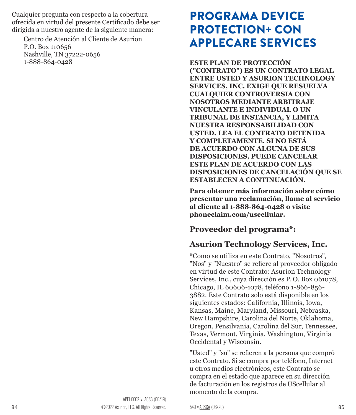<span id="page-42-0"></span>Cualquier pregunta con respecto a la cobertura ofrecida en virtud del presente Certificado debe ser dirigida a nuestro agente de la siguiente manera:

Centro de Atención al Cliente de Asurion P.O. Box 110656 Nashville, TN 37222-0656 1-888-864-0428

# PROGRAMA DEVICE PROTECTION+ CON APPLECARE SERVICES

**ESTE PLAN DE PROTECCIÓN ("CONTRATO") ES UN CONTRATO LEGAL ENTRE USTED Y ASURION TECHNOLOGY SERVICES, INC. EXIGE QUE RESUELVA CUALQUIER CONTROVERSIA CON NOSOTROS MEDIANTE ARBITRAJE VINCULANTE E INDIVIDUAL O UN TRIBUNAL DE INSTANCIA, Y LIMITA NUESTRA RESPONSABILIDAD CON USTED. LEA EL CONTRATO DETENIDA Y COMPLETAMENTE. SI NO ESTÁ DE ACUERDO CON ALGUNA DE SUS DISPOSICIONES, PUEDE CANCELAR ESTE PLAN DE ACUERDO CON LAS DISPOSICIONES DE CANCELACIÓN QUE SE ESTABLECEN A CONTINUACIÓN.** 

**Para obtener más información sobre cómo presentar una reclamación, llame al servicio al cliente al 1-888-864-0428 o visite phoneclaim.com/uscellular.** 

### **Proveedor del programa\*:**

### **Asurion Technology Services, Inc.**

\*Como se utiliza en este Contrato, "Nosotros", "Nos" y "Nuestro" se refiere al proveedor obligado en virtud de este Contrato: Asurion Technology Services, Inc., cuya dirección es P. O. Box 061078, Chicago, IL 60606-1078, teléfono 1-866-856- 3882. Este Contrato solo está disponible en los siguientes estados: California, Illinois, Iowa, Kansas, Maine, Maryland, Missouri, Nebraska, New Hampshire, Carolina del Norte, Oklahoma, Oregon, Pensilvania, Carolina del Sur, Tennessee, Texas, Vermont, Virginia, Washington, Virginia Occidental y Wisconsin.

"Usted" y "su" se refieren a la persona que compró este Contrato. Si se compra por teléfono, Internet u otros medios electrónicos, este Contrato se compra en el estado que aparece en su dirección de facturación en los registros de UScellular al momento de la compra.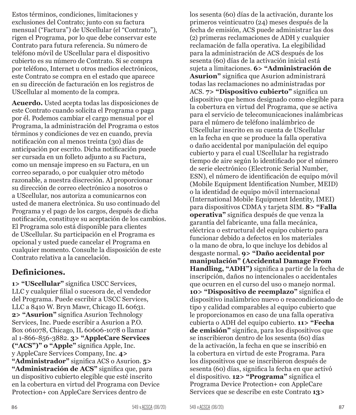Estos términos, condiciones, limitaciones y exclusiones del Contrato; junto con su factura mensual ("Factura") de UScellular (el "Contrato"), rigen el Programa, por lo que debe conservar este Contrato para futura referencia. Su número de teléfono móvil de UScellular para el dispositivo cubierto es su número de Contrato. Si se compra por teléfono, Internet u otros medios electrónicos, este Contrato se compra en el estado que aparece en su dirección de facturación en los registros de UScellular al momento de la compra.

**Acuerdo.** Usted acepta todas las disposiciones de este Contrato cuando solicita el Programa o paga por él. Podemos cambiar el cargo mensual por el Programa, la administración del Programa o estos términos y condiciones de vez en cuando, previa notificación con al menos treinta (30) días de anticipación por escrito. Dicha notificación puede ser cursada en un folleto adjunto a su Factura, como un mensaje impreso en su Factura, en un correo separado, o por cualquier otro método razonable, a nuestra discreción. Al proporcionar su dirección de correo electrónico a nosotros o a UScellular, nos autoriza a comunicarnos con usted de manera electrónica. Su uso continuado del Programa y el pago de los cargos, después de dicha notificación, constituye su aceptación de los cambios. El Programa solo está disponible para clientes de UScellular. Su participación en el Programa es opcional y usted puede cancelar el Programa en cualquier momento. Consulte la disposición de este Contrato relativa a la cancelación.

#### **Definiciones.**

**1> "UScellular"** significa USCC Services, LLC y cualquier filial o sucesora de, el vendedor del Programa. Puede escribir a USCC Services, LLC a 8410 W. Bryn Mawr, Chicago IL 60631. **2> "Asurion"** significa Asurion Technology Services, Inc. Puede escribir a Asurion a P.O. Box 061078, Chicago, IL 60606-1078 o llamar al 1-866-856-3882. **3> "AppleCare Services ("ACS")" o "Apple"** significa Apple, Inc. y AppleCare Services Company, Inc. **4> "Administrador"** significa ACS o Asurion. **5> "Administración de ACS"** significa que, para un dispositivo cubierto elegible que esté inscrito en la cobertura en virtud del Programa con Device Protection+ con AppleCare Services dentro de

los sesenta (60) días de la activación, durante los primeros veinticuatro (24) meses después de la fecha de emisión, ACS puede administrar las dos (2) primeras reclamaciones de ADH y cualquier reclamación de falla operativa. La elegibilidad para la administración de ACS después de los sesenta (60) días de la activación inicial está sujeta a limitaciones. **6> "Administración de Asurion"** significa que Asurion administrará todas las reclamaciones no administradas por ACS. **7> "Dispositivo cubierto"** significa un dispositivo que hemos designado como elegible para la cobertura en virtud del Programa, que se activa para el servicio de telecomunicaciones inalámbricas para el número de teléfono inalámbrico de UScellular inscrito en su cuenta de UScellular en la fecha en que se produce la falla operativa o daño accidental por manipulación del equipo cubierto y para el cual UScellular ha registrado tiempo de aire según lo identificado por el número de serie electrónico (Electronic Serial Number, ESN), el número de identificación de equipo móvil (Mobile Equipment Identification Number, MEID) o la identidad de equipo móvil internacional (International Mobile Equipment Identity, IMEI) para dispositivos CDMA y tarjeta SIM. **8> "Falla operativa"** significa después de que venza la garantía del fabricante, una falla mecánica, eléctrica o estructural del equipo cubierto para funcionar debido a defectos en los materiales o la mano de obra, lo que incluye los debidos al desgaste normal. **9> "Daño accidental por manipulación" (Accidental Damage From Handling, "ADH")** significa a partir de la fecha de inscripción, daños no intencionales o accidentales que ocurren en el curso del uso o manejo normal. **10> "Dispositivo de reemplazo"** significa el dispositivo inalámbrico nuevo o reacondicionado de tipo y calidad comparables al equipo cubierto que le proporcionamos en caso de una falla operativa cubierta o ADH del equipo cubierto. **11> "Fecha de emisión"** significa, para los dispositivos que se inscribieron dentro de los sesenta (60) días de la activación, la fecha en que se inscribió en la cobertura en virtud de este Programa. Para los dispositivos que se inscribieron después de sesenta (60) días, significa la fecha en que activó el dispositivo. **12> "Programa"** significa el Programa Device Protection+ con AppleCare Services que se describe en este Contrato **13>**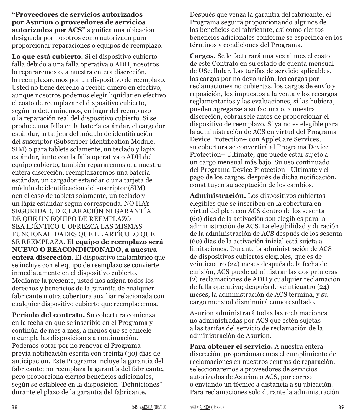**"Proveedores de servicios autorizados por Asurion o proveedores de servicios autorizados por ACS"** significa una ubicación designada por nosotros como autorizada para proporcionar reparaciones o equipos de reemplazo.

**Lo que está cubierto.** Si el dispositivo cubierto falla debido a una falla operativa o ADH, nosotros lo repararemos o, a nuestra entera discreción, lo reemplazaremos por un dispositivo de reemplazo. Usted no tiene derecho a recibir dinero en efectivo, aunque nosotros podemos elegir liquidar en efectivo el costo de reemplazar el dispositivo cubierto, según lo determinemos, en lugar del reemplazo o la reparación real del dispositivo cubierto. Si se produce una falla en la batería estándar, el cargador estándar, la tarjeta del módulo de identificación del suscriptor (Subscriber Identification Module, SIM) o para tablets solamente, un teclado y lápiz estándar, junto con la falla operativa o ADH del equipo cubierto, también repararemos o, a nuestra entera discreción, reemplazaremos una batería estándar, un cargador estándar o una tarjeta de módulo de identificación del suscriptor (SIM), oen el caso de tablets solamente, un teclado y un lápiz estándar según corresponda. NO HAY SEGURIDAD, DECLARACIÓN NI GARANTÍA DE QUE UN EQUIPO DE REEMPLAZO SEA IDÉNTICO U OFREZCA LAS MISMAS FUNCIONALIDADES QUE EL ARTÍCULO QUE SE REEMPLAZA. **El equipo de reemplazo será NUEVO O REACONDICIONADO, a nuestra entera discreción**. El dispositivo inalámbrico que se incluye con el equipo de reemplazo se convierte inmediatamente en el dispositivo cubierto. Mediante la presente, usted nos asigna todos los derechos y beneficios de la garantía de cualquier fabricante u otra cobertura auxiliar relacionada con cualquier dispositivo cubierto que reemplacemos.

**Período del contrato.** Su cobertura comienza en la fecha en que se inscribió en el Programa y continúa de mes a mes, a menos que se cancele o cumpla las disposiciones a continuación. Podemos optar por no renovar el Programa previa notificación escrita con treinta (30) días de anticipación. Este Programa incluye la garantía del fabricante; no reemplaza la garantía del fabricante, pero proporciona ciertos beneficios adicionales, según se establece en la disposición "Definiciones" durante el plazo de la garantía del fabricante.

Después que venza la garantía del fabricante, el Programa seguirá proporcionando algunos de los beneficios del fabricante, así como ciertos beneficios adicionales conforme se especifica en los términos y condiciones del Programa.

**Cargos.** Se le facturará una vez al mes el costo de este Contrato en su estado de cuenta mensual de UScellular. Las tarifas de servicio aplicables, los cargos por no devolución, los cargos por reclamaciones no cubiertas, los cargos de envío y reposición, los impuestos a la venta y los recargos reglamentarios y las evaluaciones, si las hubiera, pueden agregarse a su factura o, a nuestra discreción, cobrársele antes de proporcionar el dispositivo de reemplazo. Si ya no es elegible para la administración de ACS en virtud del Programa Device Protection+ con AppleCare Services, su cobertura se convertirá al Programa Device Protection+ Ultimate, que puede estar sujeto a un cargo mensual más bajo. Su uso continuado del Programa Device Protection+ Ultimate y el pago de los cargos, después de dicha notificación, constituyen su aceptación de los cambios.

**Administración.** Los dispositivos cubiertos elegibles que se inscriben en la cobertura en virtud del plan con ACS dentro de los sesenta (60) días de la activación son elegibles para la administración de ACS. La elegibilidad y duración de la administración de ACS después de los sesenta (60) días de la activación inicial está sujeta a limitaciones. Durante la administración de ACS de dispositivos cubiertos elegibles, que es de veinticuatro (24) meses después de la fecha de emisión, ACS puede administrar las dos primeras (2) reclamaciones de ADH y cualquier reclamación de falla operativa; después de veinticuatro (24) meses, la administración de ACS termina, y su cargo mensual disminuirá comoresultado.

Asurion administrará todas las reclamaciones no administradas por ACS que estén sujetas a las tarifas del servicio de reclamación de la administración de Asurion.

**Para obtener el servicio.** A nuestra entera discreción, proporcionaremos el cumplimiento de reclamaciones en nuestros centros de reparación, seleccionaremos a proveedores de servicios autorizados de Asurion o ACS, por correo o enviando un técnico a distancia a su ubicación. Para reclamaciones solo durante la administración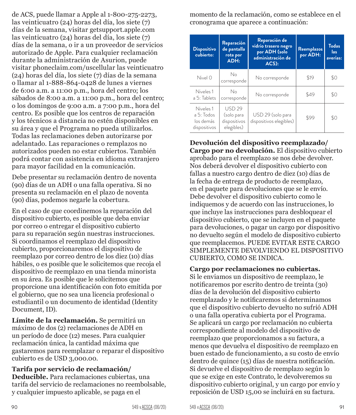de ACS, puede llamar a Apple al 1-800-275-2273, las veinticuatro (24) horas del día, los siete (7) días de la semana, visitar getsupport.apple.com las veinticuatro (24) horas del día, los siete (7) días de la semana, o ir a un proveedor de servicios autorizado de Apple. Para cualquier reclamación durante la administración de Asurion, puede visitar phoneclaim.com/uscellular las veinticuatro (24) horas del día, los siete (7) días de la semana o llamar al 1-888-864-0428 de lunes a viernes de 6:00 a.m. a 11:00 p.m., hora del centro; los sábados de 8:00 a.m. a 11:00 p.m., hora del centro; o los domingos de 9:00 a.m. a 7:00 p.m., hora del centro. Es posible que los centros de reparación y los técnicos a distancia no estén disponibles en su área y que el Programa no pueda utilizarlos. Todas las reclamaciones deben autorizarse por adelantado. Las reparaciones o remplazos no autorizados pueden no estar cubiertos. También podrá contar con asistencia en idioma extranjero para mayor facilidad en la comunicación.

Debe presentar su reclamación dentro de noventa (90) días de un ADH o una falla operativa. Si no presenta su reclamación en el plazo de noventa (90) días, podemos negarle la cobertura.

En el caso de que coordinemos la reparación del dispositivo cubierto, es posible que deba enviar por correo o entregar el dispositivo cubierto para su reparación según nuestras instrucciones. Si coordinamos el reemplazo del dispositivo cubierto, proporcionaremos el dispositivo de reemplazo por correo dentro de los diez (10) días hábiles, o es posible que le solicitemos que recoja el dispositivo de reemplazo en una tienda minorista en su área. Es posible que le solicitemos que proporcione una identificación con foto emitida por el gobierno, que no sea una licencia profesional o estudiantil o un documento de identidad (Identity Document, ID).

**Límite de la reclamación.** Se permitirá un máximo de dos (2) reclamaciones de ADH en un período de doce (12) meses. Para cualquier reclamación única, la cantidad máxima que gastaremos para reemplazar o reparar el dispositivo cubierto es de USD 3,000.00.

#### **Tarifa por servicio de reclamación/**

**Deducible.** Para reclamaciones cubiertas, una tarifa del servicio de reclamaciones no reembolsable, y cualquier impuesto aplicable, se paga en el

momento de la reclamación, como se establece en el cronograma que aparece a continuación:

| <b>Dispositivo</b><br>cubierto:                                 | Reparación<br>de pantalla<br>rota por<br>ADH:      | Reparación de<br>vidrio trasero negro<br>por ADH (solo<br>administración de<br>$ACS$ : | Reemplazos<br>por ADH: | <b>Todas</b><br>las.<br>averías: |
|-----------------------------------------------------------------|----------------------------------------------------|----------------------------------------------------------------------------------------|------------------------|----------------------------------|
| Nivel 0                                                         | No<br>corresponde                                  | No corresponde                                                                         | \$19                   | \$0                              |
| Niveles 1<br>a 5: Tablets                                       | No<br>corresponde                                  | No corresponde                                                                         | \$49                   | \$0                              |
| Niveles <sub>1</sub><br>a 5: Todos<br>los demás<br>dispositivos | USD 29<br>(solo para<br>dispositivos<br>elegibles) | USD 29 (solo para<br>dispositivos elegibles)                                           | \$99                   | \$0                              |

**Devolución del dispositivo reemplazado/ Cargo por no devolución.** El dispositivo cubierto aprobado para el reemplazo se nos debe devolver. Nos deberá devolver el dispositivo cubierto con fallas a nuestro cargo dentro de diez (10) días de la fecha de entrega de producto de reemplazo, en el paquete para devoluciones que se le envío. Debe devolver el dispositivo cubierto como le indiquemos y de acuerdo con las instrucciones, lo que incluye las instrucciones para desbloquear el dispositivo cubierto, que se incluyen en el paquete para devoluciones, o pagar un cargo por dispositivo no devuelto según el modelo de dispositivo cubierto que reemplacemos. PUEDE EVITAR ESTE CARGO SIMPLEMENTE DEVOLVIENDO EL DISPOSITIVO CUBIERTO, COMO SE INDICA.

#### **Cargo por reclamaciones no cubiertas.**

Si le enviamos un dispositivo de reemplazo, le notificaremos por escrito dentro de treinta (30) días de la devolución del dispositivo cubierto reemplazado y le notificaremos si determinamos que el dispositivo cubierto devuelto no sufrió ADH o una falla operativa cubierta por el Programa. Se aplicará un cargo por reclamación no cubierta correspondiente al modelo del dispositivo de reemplazo que proporcionamos a su factura, a menos que devuelva el dispositivo de reemplazo en buen estado de funcionamiento, a su costo de envío dentro de quince (15) días de nuestra notificación. Si devuelve el dispositivo de reemplazo según lo que se exige en este Contrato, le devolveremos su dispositivo cubierto original, y un cargo por envío y reposición de USD 15,00 se incluirá en su factura.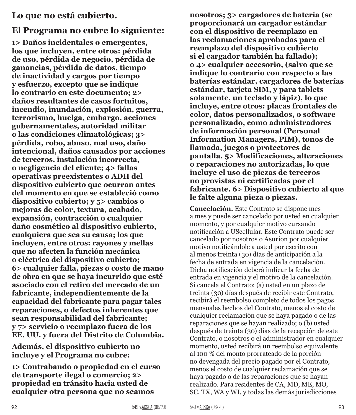#### **Lo que no está cubierto.**

### **El Programa no cubre lo siguiente:**

**1> Daños incidentales o emergentes, los que incluyen, entre otros: pérdida de uso, pérdida de negocio, pérdida de ganancias, pérdida de datos, tiempo de inactividad y cargos por tiempo y esfuerzo, excepto que se indique lo contrario en este documento; 2> daños resultantes de casos fortuitos, incendio, inundación, explosión, guerra, terrorismo, huelga, embargo, acciones gubernamentales, autoridad militar o las condiciones climatológicas; 3> pérdida, robo, abuso, mal uso, daño intencional, daños causados por acciones de terceros, instalación incorrecta, o negligencia del cliente; 4> fallas operativas preexistentes o ADH del dispositivo cubierto que ocurran antes del momento en que se estableció como dispositivo cubierto; y 5> cambios o mejoras de color, textura, acabado, expansión, contracción o cualquier daño cosmético al dispositivo cubierto, cualquiera que sea su causa; los que incluyen, entre otros: rayones y mellas que no afecten la función mecánica o eléctrica del dispositivo cubierto; 6> cualquier falla, piezas o costo de mano de obra en que se haya incurrido que esté asociado con el retiro del mercado de un fabricante, independientemente de la capacidad del fabricante para pagar tales reparaciones, o defectos inherentes que sean responsabilidad del fabricante; y 7> servicio o reemplazo fuera de los EE. UU. y fuera del Distrito de Columbia.**

**Además, el dispositivo cubierto no incluye y el Programa no cubre:**

**1> Contrabando o propiedad en el curso de transporte ilegal o comercio; 2> propiedad en tránsito hacia usted de cualquier otra persona que no seamos** 

**nosotros; 3> cargadores de batería (se proporcionará un cargador estándar con el dispositivo de reemplazo en las reclamaciones aprobadas para el reemplazo del dispositivo cubierto si el cargador también ha fallado); o 4> cualquier accesorio, (salvo que se indique lo contrario con respecto a las baterías estándar, cargadores de baterías estándar, tarjeta SIM, y para tablets solamente, un teclado y lápiz), lo que incluye, entre otros: placas frontales de color, datos personalizados, o software personalizado, como administradores de información personal (Personal Information Managers, PIM), tonos de llamada, juegos o protectores de pantalla. 5> Modificaciones, alteraciones o reparaciones no autorizadas, lo que incluye el uso de piezas de terceros no provistas ni certificadas por el fabricante. 6> Dispositivo cubierto al que le falte alguna pieza o piezas.**

**Cancelación.** Este Contrato se dispone mes a mes y puede ser cancelado por usted en cualquier momento, y por cualquier motivo cursando notificación a UScellular. Este Contrato puede ser cancelado por nosotros o Asurion por cualquier motivo notificándole a usted por escrito con al menos treinta (30) días de anticipación a la fecha de entrada en vigencia de la cancelación. Dicha notificación deberá indicar la fecha de entrada en vigencia y el motivo de la cancelación. Si cancela el Contrato: (a) usted en un plazo de treinta (30) días después de recibir este Contrato, recibirá el reembolso completo de todos los pagos mensuales hechos del Contrato, menos el costo de cualquier reclamación que se haya pagado o de las reparaciones que se hayan realizado; o (b) usted después de treinta (30) días de la recepción de este Contrato, o nosotros o el administrador en cualquier momento, usted recibirá un reembolso equivalente al 100 % del monto prorrateado de la porción no devengada del precio pagado por el Contrato, menos el costo de cualquier reclamación que se haya pagado o de las reparaciones que se hayan realizado. Para residentes de CA, MD, ME, MO, SC, TX, WA y WI, y todas las demás jurisdicciones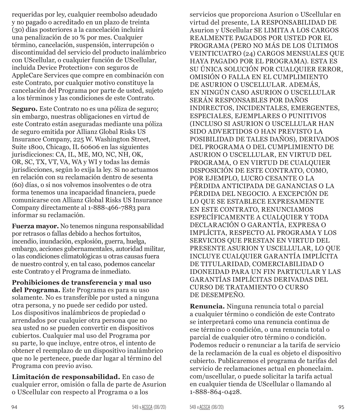requeridas por ley, cualquier reembolso adeudado y no pagado o acreditado en un plazo de treinta (30) días posteriores a la cancelación incluirá una penalización de 10 % por mes. Cualquier término, cancelación, suspensión, interrupción o discontinuidad del servicio del producto inalámbrico con UScellular, o cualquier función de UScellular, incluida Device Protection+ con seguros de AppleCare Services que compre en combinación con este Contrato, por cualquier motivo constituye la cancelación del Programa por parte de usted, sujeto a los términos y las condiciones de este Contrato.

**Seguro.** Este Contrato no es una póliza de seguro; sin embargo, nuestras obligaciones en virtud de este Contrato están aseguradas mediante una póliza de seguro emitida por Allianz Global Risks US Insurance Company, 225 W. Washington Street, Suite 1800, Chicago, IL 60606 en las siguientes jurisdicciones: CA, IL, ME, MO, NC, NH, OK, OR, SC, TX, VT, VA, WA y WI y todas las demás jurisdicciones, según lo exija la ley. Si no actuamos en relación con su reclamación dentro de sesenta (60) días, o si nos volvemos insolventes o de otra forma tenemos una incapacidad financiera, puede comunicarse con Allianz Global Risks US Insurance Company directamente al 1-888-466-7883 para informar su reclamación.

**Fuerza mayor.** No tenemos ninguna responsabilidad por retrasos o fallas debido a hechos fortuitos, incendio, inundación, explosión, guerra, huelga, embargo, acciones gubernamentales, autoridad militar, o las condiciones climatológicas u otras causas fuera de nuestro control y, en tal caso, podemos cancelar este Contrato y el Programa de inmediato.

**Prohibiciones de transferencia y mal uso del Programa.** Este Programa es para su uso solamente. No es transferible por usted a ninguna otra persona, y no puede ser cedido por usted. Los dispositivos inalámbricos de propiedad o arrendados por cualquier otra persona que no sea usted no se pueden convertir en dispositivos cubiertos. Cualquier mal uso del Programa por su parte, lo que incluye, entre otros, el intento de obtener el reemplazo de un dispositivo inalámbrico que no le pertenece, puede dar lugar al término del Programa con previo aviso.

**Limitación de responsabilidad.** En caso de cualquier error, omisión o falla de parte de Asurion o UScellular con respecto al Programa o a los

servicios que proporciona Asurion o UScellular en virtud del presente, LA RESPONSABILIDAD DE Asurion y UScellular SE LIMITA A LOS CARGOS REALMENTE PAGADOS POR USTED POR EL PROGRAMA (PERO NO MÁS DE LOS ÚLTIMOS VEINTICUATRO (24) CARGOS MENSUALES QUE HAYA PAGADO POR EL PROGRAMA). ESTA ES SU ÚNICA SOLUCIÓN POR CUALQUIER ERROR, OMISIÓN O FALLA EN EL CUMPLIMIENTO DE ASURION O USCELLULAR. ADEMÁS, EN NINGÚN CASO ASURION O USCELLULAR SERÁN RESPONSABLES POR DAÑOS INDIRECTOS, INCIDENTALES, EMERGENTES, ESPECIALES, EJEMPLARES O PUNITIVOS (INCLUSO SI ASURION O USCELLULAR HAN SIDO ADVERTIDOS O HAN PREVISTO LA POSIBILIDAD DE TALES DAÑOS), DERIVADOS DEL PROGRAMA O DEL CUMPLIMIENTO DE ASURION O USCELLULAR, EN VIRTUD DEL PROGRAMA, O EN VIRTUD DE CUALQUIER DISPOSICIÓN DE ESTE CONTRATO, COMO, POR EJEMPLO, LUCRO CESANTE O LA PÉRDIDA ANTICIPADA DE GANANCIAS O LA PÉRDIDA DEL NEGOCIO. A EXCEPCIÓN DE LO QUE SE ESTABLECE EXPRESAMENTE EN ESTE CONTRATO, RENUNCIAMOS ESPECÍFICAMENTE A CUALQUIER Y TODA DECLARACIÓN O GARANTÍA, EXPRESA O IMPLÍCITA, RESPECTO AL PROGRAMA Y LOS SERVICIOS QUE PRESTAN EN VIRTUD DEL PRESENTE ASURION Y USCELLULAR, LO QUE INCLUYE CUALQUIER GARANTÍA IMPLÍCITA DE TITULARIDAD, COMERCIABILIDAD O IDONEIDAD PARA UN FIN PARTICULAR Y LAS GARANTÍAS IMPLÍCITAS DERIVADAS DEL CURSO DE TRATAMIENTO O CURSO DE DESEMPEÑO.

**Renuncia.** Ninguna renuncia total o parcial a cualquier término o condición de este Contrato se interpretará como una renuncia continua de ese término o condición, o una renuncia total o parcial de cualquier otro término o condición. Podemos reducir o renunciar a la tarifa de servicio de la reclamación de la cual es objeto el dispositivo cubierto. Publicaremos el programa de tarifas del servicio de reclamaciones actual en phoneclaim. com/uscellular, o puede solicitar la tarifa actual en cualquier tienda de UScellular o llamando al 1-888-864-0428.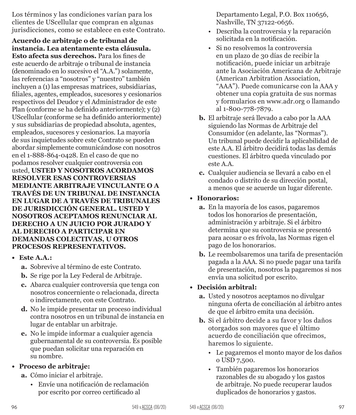Los términos y las condiciones varían para los clientes de UScellular que compran en algunas jurisdicciones, como se establece en este Contrato.

**Acuerdo de arbitraje o de tribunal de instancia. Lea atentamente esta cláusula. Esto afecta sus derechos.** Para los fines de este acuerdo de arbitraje o tribunal de instancia (denominado en lo sucesivo el "A.A.") solamente, las referencias a "nosotros" y "nuestro" también incluyen a (1) las empresas matrices, subsidiarias, filiales, agentes, empleados, sucesores y cesionarios respectivos del Deudor y el Administrador de este Plan (conforme se ha definido anteriormente); y (2) UScellular (conforme se ha definido anteriormente) y sus subsidiarias de propiedad absoluta, agentes, empleados, sucesores y cesionarios. La mayoría de sus inquietudes sobre este Contrato se pueden abordar simplemente comunicándose con nosotros en el 1-888-864-0428. En el caso de que no podamos resolver cualquier controversia con usted, **USTED Y NOSOTROS ACORDAMOS RESOLVER ESAS CONTROVERSIAS MEDIANTE ARBITRAJE VINCULANTE O A TRAVÉS DE UN TRIBUNAL DE INSTANCIA EN LUGAR DE A TRAVÉS DE TRIBUNALES DE JURISDICCIÓN GENERAL. USTED Y NOSOTROS ACEPTAMOS RENUNCIAR AL DERECHO A UN JUICIO POR JURADO Y AL DERECHO A PARTICIPAR EN DEMANDAS COLECTIVAS, U OTROS PROCESOS REPRESENTATIVOS.**

- **• Este A.A.:**
	- **a.** Sobrevive al término de este Contrato.
	- **b.** Se rige por la Ley Federal de Arbitraje.
	- **c.** Abarca cualquier controversia que tenga con nosotros concerniente o relacionada, directa o indirectamente, con este Contrato.
	- **d.** No le impide presentar un proceso individual contra nosotros en un tribunal de instancia en lugar de entablar un arbitraje.
	- **e.** No le impide informar a cualquier agencia gubernamental de su controversia. Es posible que puedan solicitar una reparación en su nombre.

#### **• Proceso de arbitraje:**

- **a.** Cómo iniciar el arbitraje.
	- Envíe una notificación de reclamación por escrito por correo certificado al

Departamento Legal, P.O. Box 110656, Nashville, TN 37122-0656.

- Describa la controversia y la reparación solicitada en la notificación.
- Si no resolvemos la controversia en un plazo de 30 días de recibir la notificación, puede iniciar un arbitraje ante la Asociación Americana de Arbitraje (American Arbitration Association, "AAA"). Puede comunicarse con la AAA y obtener una copia gratuita de sus normas y formularios en www.adr.org o llamando al 1-800-778-7879.
- **b.** El arbitraje será llevado a cabo por la AAA siguiendo las Normas de Arbitraje del Consumidor (en adelante, las "Normas"). Un tribunal puede decidir la aplicabilidad de este A.A. El árbitro decidirá todas las demás cuestiones. El árbitro queda vinculado por este A.A.
- **c.** Cualquier audiencia se llevará a cabo en el condado o distrito de su dirección postal, a menos que se acuerde un lugar diferente.

#### **• Honorarios:**

- **a.** En la mayoría de los casos, pagaremos todos los honorarios de presentación, administración y arbitraje. Si el árbitro determina que su controversia se presentó para acosar o es frívola, las Normas rigen el pago de los honorarios.
- **b.** Le reembolsaremos una tarifa de presentación pagada a la AAA. Si no puede pagar una tarifa de presentación, nosotros la pagaremos si nos envía una solicitud por escrito.

#### **• Decisión arbitral:**

- **a.** Usted y nosotros aceptamos no divulgar ninguna oferta de conciliación al árbitro antes de que el árbitro emita una decisión.
- **b.** Si el árbitro decide a su favor y los daños otorgados son mayores que el último acuerdo de conciliación que ofrecimos, haremos lo siguiente.
	- Le pagaremos el monto mayor de los daños o USD 7,500.
	- También pagaremos los honorarios razonables de su abogado y los gastos de arbitraje. No puede recuperar laudos duplicados de honorarios y gastos.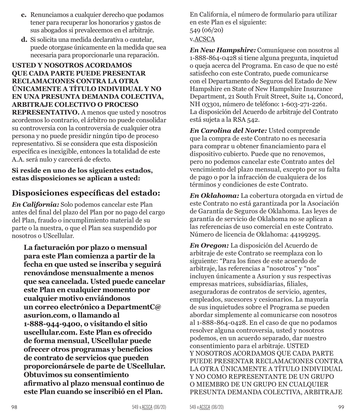- **c.** Renunciamos a cualquier derecho que podamos tener para recuperar los honorarios y gastos de sus abogados si prevalecemos en el arbitraje.
- **d.** Si solicita una medida declarativa o cautelar, puede otorgase únicamente en la medida que sea necesaria para proporcionarle una reparación.

#### **USTED Y NOSOTROS ACORDAMOS QUE CADA PARTE PUEDE PRESENTAR RECLAMACIONES CONTRA LA OTRA ÚNICAMENTE A TÍTULO INDIVIDUAL Y NO EN UNA PRESUNTA DEMANDA COLECTIVA, ARBITRAJE COLECTIVO O PROCESO**

**REPRESENTATIVO.** A menos que usted y nosotros acordemos lo contrario, el árbitro no puede consolidar su controversia con la controversia de cualquier otra persona y no puede presidir ningún tipo de proceso representativo. Si se considera que esta disposición específica es inexigible, entonces la totalidad de este A.A. será nulo y carecerá de efecto.

#### **Si reside en uno de los siguientes estados, estas disposiciones se aplican a usted:**

### **Disposiciones específicas del estado:**

*En California:* Solo podemos cancelar este Plan antes del final del plazo del Plan por no pago del cargo del Plan, fraudo o incumplimiento material de su parte o la nuestra, o que el Plan sea suspendido por nosotros o UScellular.

**La facturación por plazo o mensual para este Plan comienza a partir de la fecha en que usted se inscriba y seguirá renovándose mensualmente a menos que sea cancelada. Usted puede cancelar este Plan en cualquier momento por cualquier motivo enviándonos un correo electrónico a DepartmentC@ asurion.com, o llamando al 1-888-944-9400, o visitando el sitio uscellular.com. Este Plan es ofrecido de forma mensual, UScellular puede ofrecer otros programas y beneficios de contrato de servicios que pueden proporcionársele de parte de UScellular. Obtuvimos su consentimiento afirmativo al plazo mensual continuo de este Plan cuando se inscribió en el Plan.** 

En California, el número de formulario para utilizar en este Plan es el siguiente: 549 (06/20) v.ACSCA

*En New Hampshire:* Comuníquese con nosotros al 1-888-864-0428 si tiene alguna pregunta, inquietud o queja acerca del Programa. En caso de que no esté satisfecho con este Contrato, puede comunicarse con el Departamento de Seguros del Estado de New Hampshire en State of New Hampshire Insurance Department, 21 South Fruit Street, Suite 14, Concord, NH 03301, número de teléfono: 1-603-271-2261. La disposición del Acuerdo de arbitraje del Contrato está sujeta a la RSA 542.

*En Carolina del Norte:* Usted comprende que la compra de este Contrato no es necesaria para comprar u obtener financiamiento para el dispositivo cubierto. Puede que no renovemos, pero no podemos cancelar este Contrato antes del vencimiento del plazo mensual, excepto por su falta de pago o por la infracción de cualquiera de los términos y condiciones de este Contrato.

*En Oklahoma:* La cobertura otorgada en virtud de este Contrato no está garantizada por la Asociación de Garantía de Seguros de Oklahoma. Las leyes de garantía de servicio de Oklahoma no se aplican a las referencias de uso comercial en este Contrato. Número de licencia de Oklahoma: 44199295.

*En Oregon:* La disposición del Acuerdo de arbitraje de este Contrato se reemplaza con lo siguiente: "Para los fines de este acuerdo de arbitraje, las referencias a "nosotros" y "nos" incluyen únicamente a Asurion y sus respectivas empresas matrices, subsidiarias, filiales, aseguradoras de contratos de servicio, agentes, empleados, sucesores y cesionarios. La mayoría de sus inquietudes sobre el Programa se pueden abordar simplemente al comunicarse con nosotros al 1-888-864-0428. En el caso de que no podamos resolver alguna controversia, usted y nosotros podemos, en un acuerdo separado, dar nuestro consentimiento para el arbitraje. USTED Y NOSOTROS ACORDAMOS QUE CADA PARTE PUEDE PRESENTAR RECLAMACIONES CONTRA LA OTRA ÚNICAMENTE A TÍTULO INDIVIDUAL Y NO COMO REPRESENTANTE DE UN GRUPO O MIEMBRO DE UN GRUPO EN CUALQUIER PRESUNTA DEMANDA COLECTIVA, ARBITRAJE